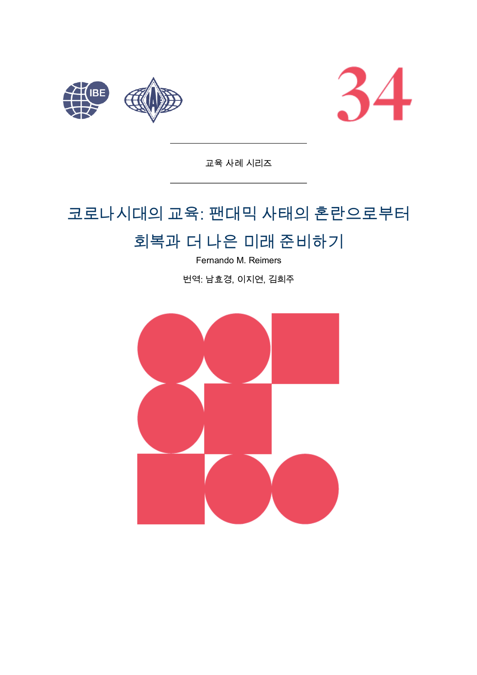



교육 사례 시리즈

# 코로나시대의 교육: 팬대믹 사태의 혼란으로부터

## 회복과 더 나은 미래 준비하기

Fernando M. Reimers

번역: 남효경, 이지연, 김희주

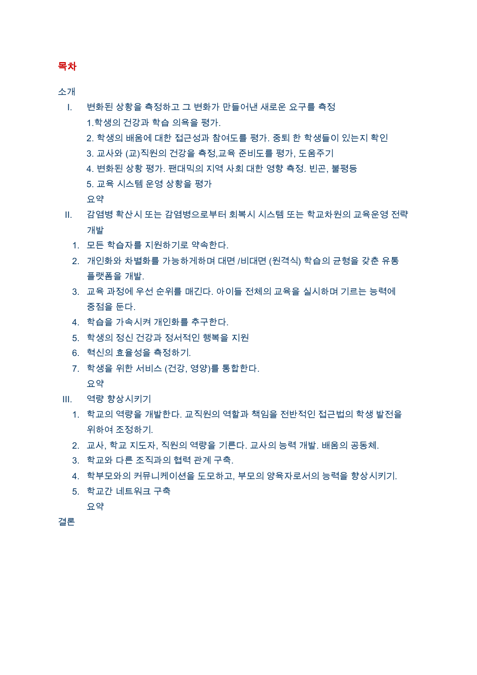#### 목차

소개

- 변화된 상황을 측정하고 그 변화가 만들어낸 새로운 요구를 측정  $\mathbf{L}$ 1.학생의 건강과 학습 의욕을 평가. 2. 학생의 배움에 대한 접근성과 참여도를 평가. 중퇴 한 학생들이 있는지 확인 3. 교사와 (교)직원의 건강을 측정,교육 준비도를 평가, 도움주기 4. 변화된 상황 평가, 팬대믹의 지역 사회 대한 영향 측정, 빈곤, 불평등 5. 교육 시스템 운영 상황을 평가 유약
- Ⅱ. 감염병 확산시 또는 감염병으로부터 회복시 시스템 또는 학교차원의 교육운영 전략 개발
	- 1. 모든 학습자를 지원하기로 약속한다.
	- 2. 개인화와 차별화를 가능하게하며 대면 /비대면 (원격식) 학습의 균형을 갖춘 유통 플랫폼을 개발.
	- 3. 교육 과정에 우선 순위를 매긴다. 아이들 전체의 교육을 실시하며 기르는 능력에 중점을 둔다.
	- 4. 학습을 가속시켜 개인화를 추구한다.
	- 5. 학생의 정신 건강과 정서적인 행복을 지원
	- 6. 혁신의 효율성을 측정하기.
	- 7. 학생을 위한 서비스 (건강, 영양)를 통합한다. 요약
- Ⅲ. 역량 향상시키기
	- 1. 학교의 역량을 개발한다. 교직원의 역할과 책임을 저반적인 접근법의 학생 발전을 위하여 조정하기
	- 2. 교사, 학교 지도자, 직원의 역량을 기른다. 교사의 능력 개발, 배움의 공동체,
	- 3. 학교와 다른 조직과의 협력 관계 구축.
	- 4. 학부모와의 커뮤니케이션을 도모하고, 부모의 양육자로서의 능력을 향상시키기,
	- 5. 학교간 네트워크 구축

요약

결론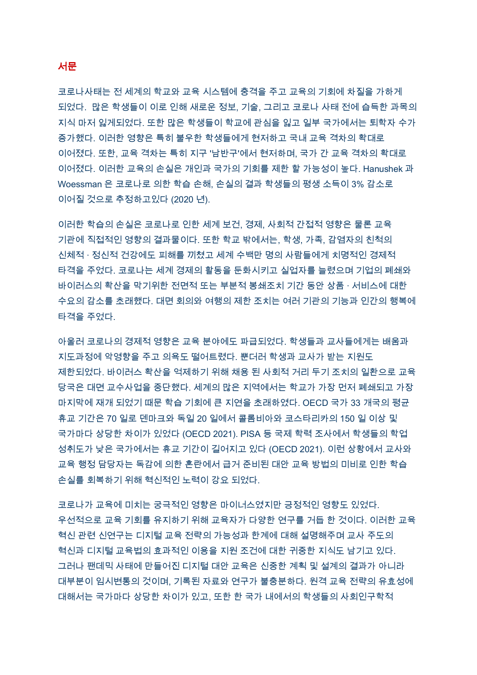#### 서문

코로나사태는 전 세계의 학교와 교육 시스템에 충격을 주고 교육의 기회에 차질을 가하게 되었다. 많은 학생들이 이로 인해 새로운 정보, 기술, 그리고 코로나 사태 전에 습득한 과목의 지식 마저 잃게되었다. 또한 많은 학생들이 학교에 관심을 잃고 일부 국가에서는 퇴학자 수가 증가했다. 이러한 영향은 특히 불우한 학생들에게 현저하고 국내 교육 격차의 확대로 이어졌다. 또한, 교육 격차는 특히 지구 '남반구'에서 현저하며, 국가 간 교육 격차의 확대로 이어졌다. 이러한 교육의 손실은 개인과 국가의 기회를 제한 할 가능성이 높다. Hanushek 과 Woessman 은 코로나로 의한 학습 손해, 손실의 결과 학생들의 평생 소득이 3% 감소로 이어질 것으로 추정하고있다 (2020 년).

이러한 학습의 손실은 코로나로 인한 세계 보건, 경제, 사회적 간접적 영향은 물론 교육 기관에 직접적인 영향의 결과물이다. 또한 학교 밖에서는, 학생, 가족, 감염자의 친척의 신체적 · 정신적 건강에도 피해를 끼쳤고 세계 수백만 명의 사람들에게 치명적인 경제적 타격을 주었다. 코로나는 세계 경제의 활동을 둔화시키고 실업자를 늘렸으며 기업의 폐쇄와 바이러스의 확산을 막기위한 전면적 또는 부분적 봉쇄조치 기간 동안 상품 · 서비스에 대한 수요의 감소를 초래했다. 대면 회의와 여행의 제한 조치는 여러 기관의 기능과 인간의 행복에 타격을 주었다.

아울러 코로나의 경제적 영향은 교육 분야에도 파급되었다. 학생들과 교사들에게는 배움과 지도과정에 악영향을 주고 의욕도 떨어트렸다. 뿐더러 학생과 교사가 받는 지원도 제한되었다. 바이러스 확산을 억제하기 위해 채용 된 사회적 거리 두기 조치의 일환으로 교육 당국은 대면 교수사업을 중단했다. 세계의 많은 지역에서는 학교가 가장 먼저 폐쇄되고 가장 마지막에 재개 되었기 때문 학습 기회에 큰 지연을 초래하였다. OECD 국가 33 개국의 평균 휴교 기간은 70 일로 덴마크와 독일 20 일에서 콜롬비아와 코스타리카의 150 일 이상 및 국가마다 상당한 차이가 있었다 (OECD 2021). PISA 등 국제 학력 조사에서 학생들의 학업 성취도가 낮은 국가에서는 휴교 기간이 길어지고 있다 (OECD 2021). 이런 상황에서 교사와 교육 행정 담당자는 독감에 의한 혼란에서 급거 준비된 대안 교육 방법의 미비로 인한 학습 손실를 회복하기 위해 혁신적인 노력이 강요 되었다.

코로나가 교육에 미치는 궁극적인 영향은 마이너스였지만 긍정적인 영향도 있었다. 우선적으로 교육 기회를 유지하기 위해 교육자가 다양한 연구를 거듭 한 것이다. 이러한 교육 혁신 관련 신연구는 디지털 교육 전략의 가능성과 한계에 대해 설명해주며 교사 주도의 혁신과 디지털 교육법의 효과적인 이용을 지원 조건에 대한 귀중한 지식도 남기고 있다. 그러나 팬데믹 사태에 만들어진 디지털 대안 교육은 신중한 계획 및 설계의 결과가 아니라 대부분이 임시변통의 것이며, 기록된 자료와 연구가 불충분하다. 원격 교육 전략의 유효성에 대해서는 국가마다 상당한 차이가 있고, 또한 한 국가 내에서의 학생들의 사회인구학적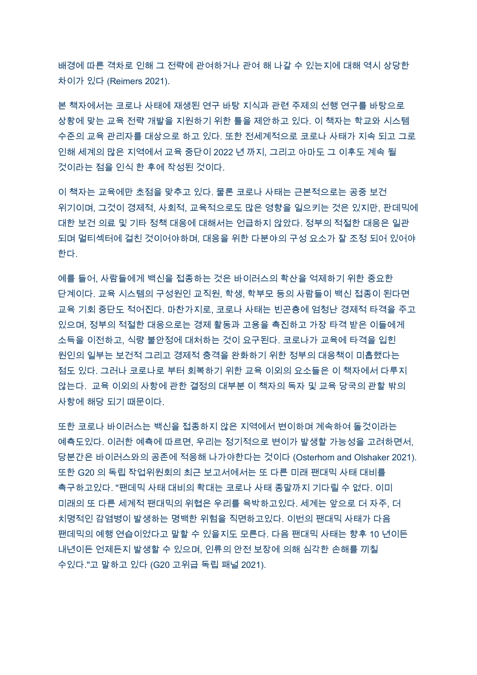배경에 따른 격차로 인해 그 전략에 관여하거나 관여 해 나갈 수 있는지에 대해 역시 상당한 차이가 있다 (Reimers 2021).

본 책자에서는 코로나 사태에 재생된 연구 바탕 지식과 관련 주제의 선행 연구를 바탕으로 상황에 맞는 교육 전략 개발을 지원하기 위한 틀을 제안하고 있다. 이 책자는 학교와 시스템 수준의 교육 관리자를 대상으로 하고 있다. 또한 전세계적으로 코로나 사태가 지속 되고 그로 인해 세계의 많은 지역에서 교육 중단이 2022 년 까지, 그리고 아마도 그 이후도 계속 될 것이라는 점을 인식 한 후에 작성된 것이다.

이 책자는 교육에만 초점을 맞추고 있다. 물론 코로나 사태는 근본적으로는 공중 보건 위기이며, 그것이 경제적, 사회적, 교육적으로도 많은 영향을 일으키는 것은 있지만, 판데믹에 대한 보건 의료 및 기타 정책 대응에 대해서는 언급하지 않았다. 정부의 적절한 대응은 일관 되며 멀티섹터에 걸친 것이어야하며. 대응을 위한 다분야의 구성 요소가 잘 조정 되어 있어야 한다.

예를 들어. 사람들에게 백신을 접종하는 것은 바이러스의 확산을 억제하기 위한 중요한 단계이다. 교육 시스템의 구성원인 교직원, 학생, 학부모 등의 사람들이 백신 접종이 된다면 교육 기회 중단도 적어진다. 마찬가지로, 코로나 사태는 빈곤층에 엄청난 경제적 타격을 주고 있으며, 정부의 적절한 대응으로는 경제 활동과 고용을 촉진하고 가장 타격 받은 이들에게 소득을 이전하고, 식량 불안정에 대처하는 것이 요구된다. 코로나가 교육에 타격을 입힌 원인의 일부는 보건적 그리고 경제적 충격을 완화하기 위한 정부의 대응책이 미흡했다는 점도 있다. 그러나 코로나로 부터 회복하기 위한 교육 이외의 요소들은 이 책자에서 다루지 않는다. 교육 이외의 사항에 관한 결정의 대부분 이 책자의 독자 및 교육 당국의 관할 밖의 사항에 해당 되기 때문이다.

또한 코로나 바이러스는 백신을 접종하지 않은 지역에서 변이하며 계속하여 돌것이라는 예측도있다. 이러한 예측에 따르면, 우리는 정기적으로 변이가 발생할 가능성을 고려하면서, 당분간은 바이러스와의 공존에 적응해 나가야한다는 것이다 (Osterhom and Olshaker 2021). 또한 G20 의 독립 작업위원회의 최근 보고서에서는 또 다른 미래 팬대믹 사태 대비를 촉구하고있다. "팬데믹 사태 대비의 확대는 코로나 사태 종말까지 기다릴 수 없다. 이미 미래의 또 다른 세계적 팬대믹의 위협은 우리를 육박하고있다. 세계는 앞으로 더 자주, 더 치명적인 감염병이 발생하는 명백한 위험을 직면하고있다. 이번의 팬대믹 사태가 다음 팬데믹의 예행 연습이었다고 말할 수 있을지도 모른다. 다음 팬대믹 사태는 향후 10 년이든 내년이든 언제든지 발생할 수 있으며, 인류의 안전 보장에 의해 심각한 손해를 끼칠 수있다."고 말하고 있다 (G20 고위급 독립 패널 2021).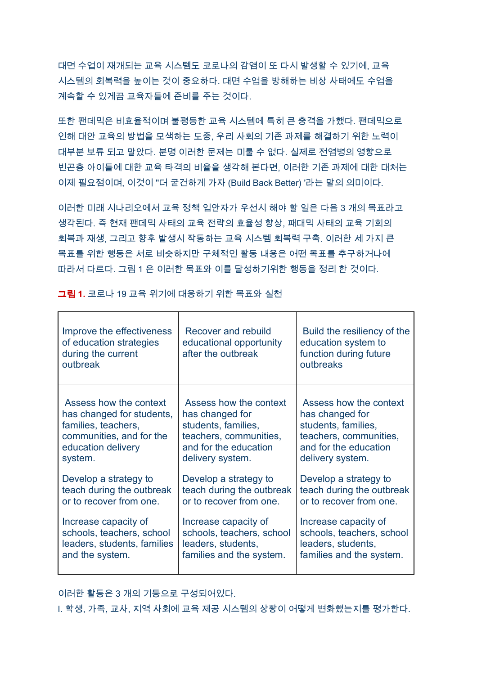대면 수업이 재개되는 교육 시스템도 코로나의 감염이 또 다시 발생할 수 있기에, 교육 시스템의 회복력을 높이는 것이 중요하다. 대면 수업을 방해하는 비상 사태에도 수업을 계속할 수 있게끔 교육자들에 준비를 주는 것이다.

또한 팬데믹은 비효율적이며 불평등한 교육 시스템에 특히 큰 충격을 가했다. 팬데믹으로 인해 대안 교육의 방법을 모색하는 도중, 우리 사회의 기존 과제를 해결하기 위한 노력이 대부분 보류 되고 말았다. 분명 이러한 문제는 미룰 수 없다. 실제로 전염병의 영향으로 빈곤층 아이들에 대한 교육 타격의 비율을 생각해 본다면, 이러한 기존 과제에 대한 대처는 이제 필요점이며, 이것이 "더 굳건하게 가자 (Build Back Better) '라는 말의 의미이다.

이러한 미래 시나리오에서 교육 정책 입안자가 우선시 해야 할 일은 다음 3 개의 목표라고 생각된다. 즉 현재 팬데믹 사태의 교육 전략의 효율성 향상, 패대믹 사태의 교육 기회의 회복과 재생, 그리고 향후 발생시 작동하는 교육 시스템 회복력 구축. 이러한 세 가지 큰 목표를 위한 행동은 서로 비슷하지만 구체적인 활동 내용은 어떤 목표를 추구하거나에 따라서 다르다. 그림 1 은 이러한 목표와 이를 달성하기위한 행동을 정리 한 것이다.

| Improve the effectiveness<br>of education strategies<br>during the current<br>outbreak | Recover and rebuild<br>educational opportunity<br>after the outbreak | Build the resiliency of the<br>education system to<br>function during future<br>outbreaks |
|----------------------------------------------------------------------------------------|----------------------------------------------------------------------|-------------------------------------------------------------------------------------------|
| Assess how the context                                                                 | Assess how the context                                               | Assess how the context                                                                    |
| has changed for students,                                                              | has changed for                                                      | has changed for                                                                           |
| families, teachers,                                                                    | students, families,                                                  | students, families,                                                                       |
| communities, and for the                                                               | teachers, communities,                                               | teachers, communities,                                                                    |
| education delivery                                                                     | and for the education                                                | and for the education                                                                     |
| system.                                                                                | delivery system.                                                     | delivery system.                                                                          |
| Develop a strategy to                                                                  | Develop a strategy to                                                | Develop a strategy to                                                                     |
| teach during the outbreak                                                              | teach during the outbreak                                            | teach during the outbreak                                                                 |
| or to recover from one.                                                                | or to recover from one.                                              | or to recover from one.                                                                   |
| Increase capacity of                                                                   | Increase capacity of                                                 | Increase capacity of                                                                      |
| schools, teachers, school                                                              | schools, teachers, school                                            | schools, teachers, school                                                                 |
| leaders, students, families                                                            | leaders, students,                                                   | leaders, students,                                                                        |
| and the system.                                                                        | families and the system.                                             | families and the system.                                                                  |

그림 1. 코로나 19 교육 위기에 대응하기 위한 목표와 실천

이러한 활동은 3 개의 기둥으로 구성되어있다.

I. 학생, 가족, 교사, 지역 사회에 교육 제공 시스템의 상황이 어떻게 변화했는지를 평가한다.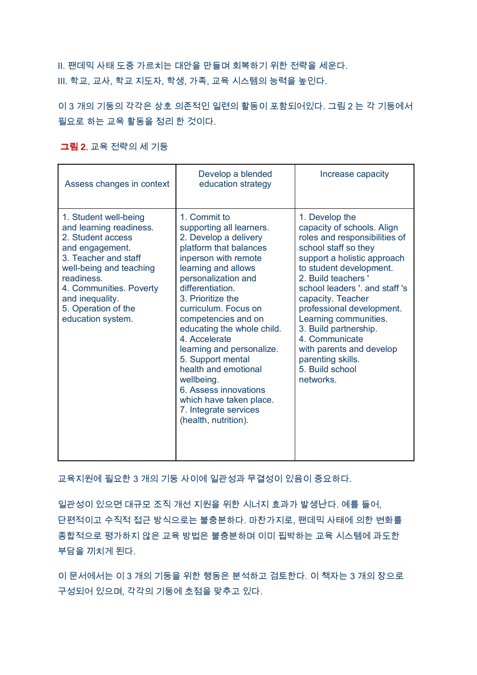Ⅱ. 팬데믹 사태 도중 가르치는 대안을 만들며 회복하기 위한 전략을 세운다. Ⅲ. 학교, 교사, 학교 지도자, 학생, 가족, 교육 시스템의 능력을 높인다.

이 3 개의 기둥의 각각은 상호 의존적인 일련의 활동이 포함되어있다. 그림 2 는 각 기둥에서 필요로 하는 교육 활동을 정리 한 것이다.

#### 그림 2. 교육 전략의 세 기둥

| Assess changes in context                                                                                                                                                                                                                           | Develop a blended<br>education strategy                                                                                                                                                                                                                                                                                                                                                                                                                                                               | Increase capacity                                                                                                                                                                                                                                                                                                                                                                                                               |
|-----------------------------------------------------------------------------------------------------------------------------------------------------------------------------------------------------------------------------------------------------|-------------------------------------------------------------------------------------------------------------------------------------------------------------------------------------------------------------------------------------------------------------------------------------------------------------------------------------------------------------------------------------------------------------------------------------------------------------------------------------------------------|---------------------------------------------------------------------------------------------------------------------------------------------------------------------------------------------------------------------------------------------------------------------------------------------------------------------------------------------------------------------------------------------------------------------------------|
| 1. Student well-being<br>and learning readiness.<br>2. Student access<br>and engagement.<br>3. Teacher and staff<br>well-being and teaching<br>readiness.<br>4. Communities. Poverty<br>and inequality.<br>5. Operation of the<br>education system. | 1. Commit to<br>supporting all learners.<br>2. Develop a delivery<br>platform that balances<br>inperson with remote<br>learning and allows<br>personalization and<br>differentiation.<br>3. Prioritize the<br>curriculum. Focus on<br>competencies and on<br>educating the whole child.<br>4. Accelerate<br>learning and personalize.<br>5. Support mental<br>health and emotional<br>wellbeing.<br>6. Assess innovations<br>which have taken place.<br>7. Integrate services<br>(health, nutrition). | 1. Develop the<br>capacity of schools. Align<br>roles and responsibilities of<br>school staff so they<br>support a holistic approach<br>to student development.<br>2. Build teachers '<br>school leaders ', and staff 's<br>capacity. Teacher<br>professional development.<br>Learning communities.<br>3. Build partnership.<br>4. Communicate<br>with parents and develop<br>parenting skills.<br>5. Build school<br>networks. |

교육지원에 필요한 3 개의 기둥 사이에 일관성과 무결성이 있음이 중요하다.

일관성이 있으면 대규모 조직 개선 지원을 위한 시너지 효과가 발생난다. 예를 들어. 단편적이고 수직적 접근 방식으로는 불충분하다. 마찬가지로, 팬데믹 사태에 의한 변화를 종합적으로 평가하지 않은 교육 방법은 불충분하며 이미 핍박하는 교육 시스템에 과도한 부담을 끼치게 된다.

이 문서에서는 이 3 개의 기둥을 위한 행동은 분석하고 검토한다. 이 책자는 3 개의 장으로 구성되어 있으며, 각각의 기둥에 초점을 맞추고 있다.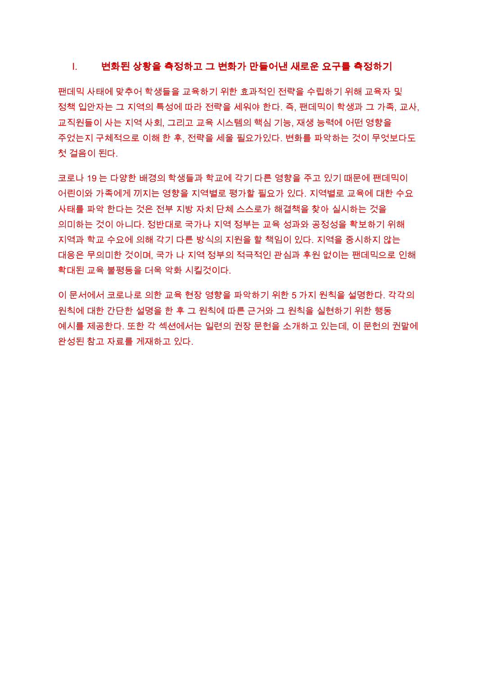#### 변화된 상황을 측정하고 그 변화가 만들어낸 새로운 요구를 측정하기  $\mathbf{L}$

팬데믹 사태에 맞추어 학생들을 교육하기 위한 효과적인 전략을 수립하기 위해 교육자 및 정책 입안자는 그 지역의 특성에 따라 전략을 세워야 한다. 즉, 팬데믹이 학생과 그 가족, 교사, 교직원들이 사는 지역 사회, 그리고 교육 시스템의 핵심 기능, 재생 능력에 어떤 영향을 주었는지 구체적으로 이해 한 후, 전략을 세울 필요가있다. 변화를 파악하는 것이 무엇보다도 첫 걸음이 된다.

코로나 19 는 다양한 배경의 학생들과 학교에 각기 다른 영향을 주고 있기 때문에 팬데믹이 어린이와 가족에게 끼지는 영향을 지역별로 평가할 필요가 있다. 지역별로 교육에 대한 수요 사태를 파악 한다는 것은 전부 지방 자치 단체 스스로가 해결책을 찾아 실시하는 것을 의미하는 것이 아니다. 정반대로 국가나 지역 정부는 교육 성과와 공정성을 확보하기 위해 지역과 학교 수요에 의해 각기 다른 방식의 지원을 할 책임이 있다. 지역을 중시하지 않는 대응은 무의미한 것이며, 국가 나 지역 정부의 적극적인 관심과 후원 없이는 팬데믹으로 인해 확대된 교육 불평등을 더욱 악화 시킬것이다.

이 문서에서 코로나로 의한 교육 현장 영향을 파악하기 위한 5 가지 원칙을 설명한다. 각각의 원칙에 대한 간단한 설명을 한 후 그 원칙에 따른 근거와 그 원칙을 실현하기 위한 행동 예시를 제공한다. 또한 각 섹션에서는 일련의 권장 문헌을 소개하고 있는데, 이 문헌의 권말에 완성된 참고 자료를 게재하고 있다.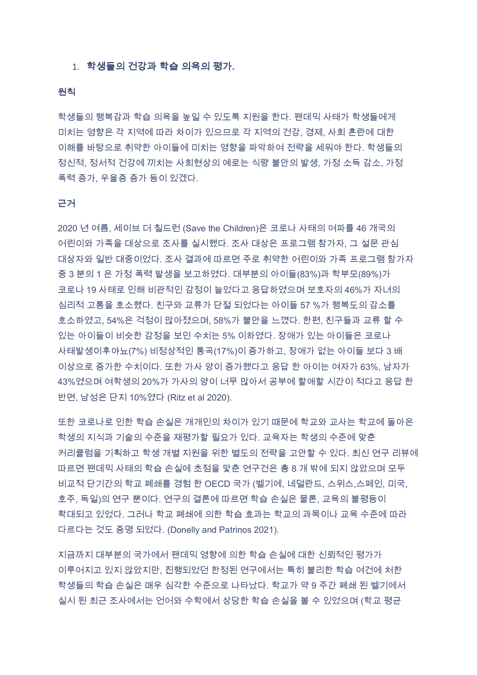#### 1. 학생들의 건강과 학습 의욕의 평가.

#### 원칙

학생들의 행복감과 학습 의욕을 높일 수 있도록 지원을 한다. 팬데믹 사태가 학생들에게 미치는 영향은 각 지역에 따라 차이가 있으므로 각 지역의 건강. 경제. 사회 혼란에 대한 이해를 바탕으로 취약한 아이들에 미치는 영향을 파악하여 전략을 세워야 한다. 학생들의 정신적, 정서적 건강에 끼치는 사회현상의 예로는 식량 불안의 발생, 가정 소득 감소, 가정 폭력 증가, 우울증 증가 등이 있겠다.

#### 근거

2020 년 여름, 세이브 더 칠드런 (Save the Children)은 코로나 사태의 여파를 46 개국의 어린이와 가족을 대상으로 조사를 실시했다. 조사 대상은 프로그램 참가자, 그 설문 관심 대상자와 일반 대중이었다. 조사 결과에 따르면 주로 취약한 어린이와 가족 프로그램 참가자 중 3 분의 1 은 가정 폭력 발생을 보고하였다. 대부분의 아이들(83%)과 학부모(89%)가 코로나 19 사태로 인해 비관적인 감정이 늘었다고 응답하였으며 보호자의 46%가 자녀의 심리적 고통을 호소했다. 친구와 교류가 단절 되었다는 아이들 57 %가 행복도의 감소를 호소하였고, 54%은 걱정이 많아졌으며, 58%가 불안을 느꼈다. 한편, 친구들과 교류 할 수 있는 아이들이 비슷한 감정을 보인 수치는 5% 이하였다. 장애가 있는 아이들은 코로나 사태발생이후야뇨(7%) 비정상적인 통곡(17%)이 증가하고, 장애가 없는 아이들 보다 3 배 이상으로 증가한 수치이다. 또한 가사 양이 증가했다고 응답 한 아이는 여자가 63%, 남자가 43%였으며 여학생의 20%가 가사의 양이 너무 많아서 공부에 할애할 시간이 적다고 응답 한 반면, 남성은 단지 10%였다 (Ritz et al 2020).

또한 코로나로 인한 학습 손실은 개개인의 차이가 있기 때문에 학교와 교사는 학교에 돌아온 학생의 지식과 기술의 수준을 재평가할 필요가 있다. 교육자는 학생의 수준에 맞춘 커리큘럼을 기획하고 학생 개별 지원을 위한 별도의 전략을 고안할 수 있다. 최신 연구 리뷰에 따르면 팬데믹 사태의 학습 손실에 초점을 맟춘 연구건은 총 8 개 밖에 되지 않았으며 모두 비교적 단기간의 학교 폐쇄를 경험 한 OECD 국가 (벨기에, 네덜란드, 스위스,스페인, 미국, 호주, 독일)의 연구 뿐이다. 연구의 결론에 따르면 학습 손실은 물론, 교육의 불평등이 확대되고 있었다. 그러나 학교 폐쇄에 의한 학습 효과는 학교의 과목이나 교육 수준에 따라 다르다는 것도 증명 되었다. (Donelly and Patrinos 2021).

지금까지 대부분의 국가에서 팬데믹 영향에 의한 학습 손실에 대한 신뢰적인 평가가 이루어지고 있지 않았지만, 진행되었던 한정된 연구에서는 특히 불리한 학습 여건에 처한 학생들의 학습 손실은 매우 심각한 수준으로 나타났다. 학교가 약 9 주간 폐쇄 된 벨기에서 실시 된 최근 조사에서는 언어와 수학에서 상당한 학습 손실을 볼 수 있었으며 (학교 평균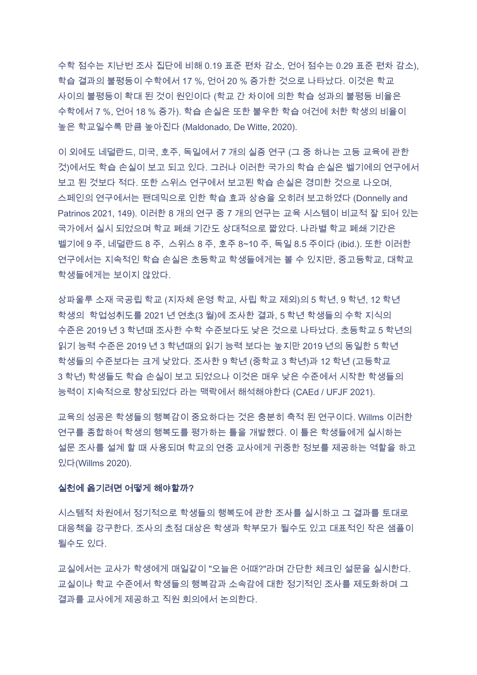수학 점수는 지난번 조사 집단에 비해 0.19 표준 편차 감소, 언어 점수는 0.29 표준 편차 감소), 학습 결과의 불평등이 수학에서 17 %, 언어 20 % 증가한 것으로 나타났다. 이것은 학교 사이의 불평등이 확대 된 것이 원인이다 (학교 간 차이에 의한 학습 성과의 불평등 비율은 수학에서 7 %, 언어 18 % 증가). 학습 손실은 또한 불우한 학습 여건에 처한 학생의 비율이 높은 학교일수록 만큼 높아진다 (Maldonado, De Witte, 2020).

이 외에도 네덜란드, 미국, 호주, 독일에서 7 개의 실증 연구 (그 중 하나는 고등 교육에 관한 것)에서도 학습 손실이 보고 되고 있다. 그러나 이러한 국가의 학습 손실은 벨기에의 연구에서 보고 된 것보다 적다. 또한 스위스 연구에서 보고된 학습 손실은 경미한 것으로 나오며, 스페인의 연구에서는 팬데믹으로 인한 학습 효과 상승을 오히려 보고하였다 (Donnelly and Patrinos 2021, 149). 이러한 8 개의 연구 중 7 개의 연구는 교육 시스템이 비교적 잘 되어 있는 국가에서 실시 되었으며 학교 폐쇄 기간도 상대적으로 짧았다. 나라별 학교 폐쇄 기간은 벨기에 9 주, 네덜란드 8 주, 스위스 8 주, 호주 8~10 주, 독일 8.5 주이다 (ibid.). 또한 이러한 연구에서는 지속적인 학습 손실은 초등학교 학생들에게는 볼 수 있지만, 중고등학교, 대학교 학생들에게는 보이지 않았다.

상파울루 소재 국공립 학교 (지자체 운영 학교, 사립 학교 제외)의 5 학년, 9 학년, 12 학년 학생의 학업성취도를 2021 년 연초(3 월)에 조사한 결과, 5 학년 학생들의 수학 지식의 수준은 2019 년 3 학년때 조사한 수학 수준보다도 낮은 것으로 나타났다. 초등학교 5 학년의 읽기 능력 수준은 2019 년 3 학년때의 읽기 능력 보다는 높지만 2019 년의 동일한 5 학년 학생들의 수준보다는 크게 낮았다. 조사한 9 학년 (중학교 3 학년)과 12 학년 (고등학교 3 학년) 학생들도 학습 손실이 보고 되었으나 이것은 매우 낮은 수준에서 시작한 학생들의 능력이 지속적으로 향상되었다 라는 맥락에서 해석해야한다 (CAEd / UFJF 2021).

교육의 성공은 학생들의 행복감이 중요하다는 것은 충분히 축적 된 연구이다. Willms 이러한 연구를 종합하여 학생의 행복도를 평가하는 틀을 개발했다. 이 틀은 학생들에게 실시하는 설문 조사를 설계 할 때 사용되며 학교의 연중 교사에게 귀중한 정보를 제공하는 역할을 하고 있다(Willms 2020).

#### 실천에 옮기려면 어떻게 해야할까?

시스템적 차원에서 정기적으로 학생들의 행복도에 관한 조사를 실시하고 그 결과를 토대로 대응책을 강구한다. 조사의 초점 대상은 학생과 학부모가 될수도 있고 대표적인 작은 샘플이 될수도 있다.

교실에서는 교사가 학생에게 매일같이 "오늘은 어때?"라며 간단한 체크인 설문을 실시한다. 교실이나 학교 수준에서 학생들의 행복감과 소속감에 대한 정기적인 조사를 제도화하며 그 결과를 교사에게 제공하고 직원 회의에서 논의한다.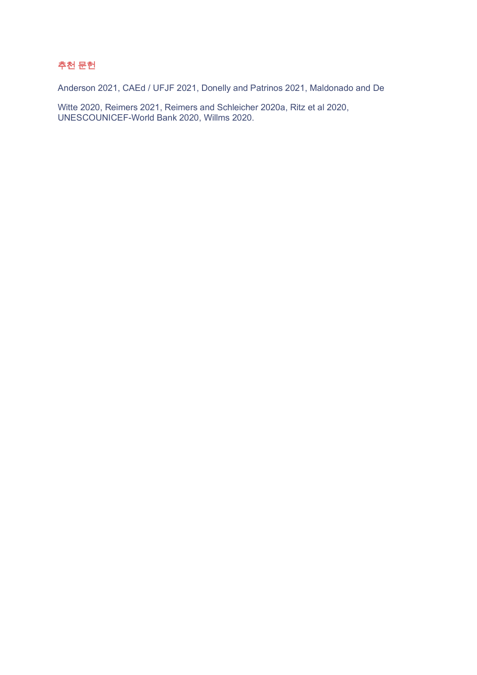## 추천 문헌

Anderson 2021, CAEd / UFJF 2021, Donelly and Patrinos 2021, Maldonado and De

Witte 2020, Reimers 2021, Reimers and Schleicher 2020a, Ritz et al 2020, UNESCOUNICEF-World Bank 2020, Willms 2020.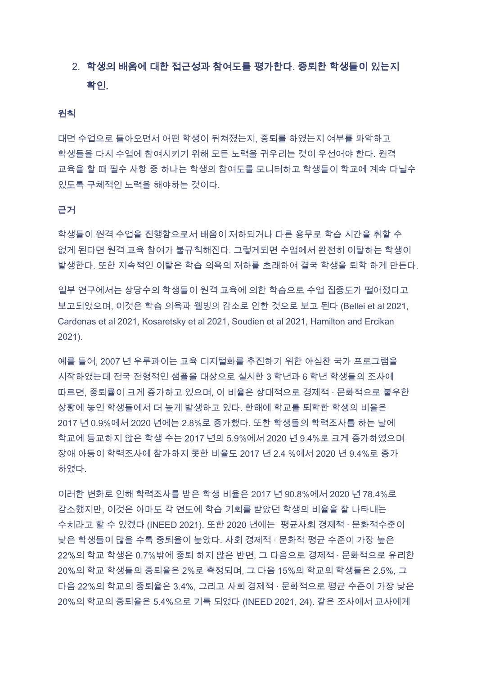## 2. 학생의 배움에 대한 접근성과 참여도를 평가한다. 중퇴한 학생들이 있는지 확인

#### 원칙

대면 수업으로 돌아오면서 어떤 학생이 뒤쳐졌는지. 중퇴를 하였는지 여부를 파악하고 학생들을 다시 수업에 참여시키기 위해 모든 노력을 귀우리는 것이 우선어야 한다. 원격 교육을 할 때 필수 사항 중 하나는 학생의 참여도를 모니터하고 학생들이 학교에 계속 다닐수 있도록 구체적인 노력을 해야하는 것이다.

#### 근거

학생들이 원격 수업을 진행함으로서 배움이 저하되거나 다른 용무로 학습 시간을 취할 수 없게 된다면 원격 교육 참여가 불규칙해진다. 그렇게되면 수업에서 완전히 이탈하는 학생이 발생한다. 또한 지속적인 이탈은 학습 의욕의 저하를 초래하여 결국 학생을 퇴학 하게 만든다.

일부 연구에서는 상당수의 학생들이 원격 교육에 의한 학습으로 수업 집중도가 떨어졌다고 보고되었으며, 이것은 학습 의욕과 웰빙의 감소로 인한 것으로 보고 된다 (Bellei et al 2021, Cardenas et al 2021. Kosaretsky et al 2021. Soudien et al 2021. Hamilton and Ercikan  $2021$ ).

예를 들어. 2007 년 우루과이는 교육 디지털화를 추진하기 위한 야심찬 국가 프로그램을 시작하였는데 전국 전형적인 샘플을 대상으로 실시한 3 학년과 6 학년 학생들의 조사에 따르면, 중퇴률이 크게 증가하고 있으며, 이 비율은 상대적으로 경제적 · 문화적으로 불우한 상황에 놓인 학생들에서 더 높게 발생하고 있다. 한해에 학교를 퇴학한 학생의 비율은 2017 년 0.9%에서 2020 년에는 2.8%로 증가했다. 또한 학생들의 학력조사를 하는 날에 학교에 등교하지 않은 학생 수는 2017 년의 5.9%에서 2020 년 9.4%로 크게 증가하였으며 장애 아동이 학력조사에 참가하지 못한 비율도 2017 년 2.4 %에서 2020 년 9.4%로 증가 하였다.

이러한 변화로 인해 학력조사를 받은 학생 비율은 2017 년 90.8%에서 2020 년 78.4%로 감소했지만, 이것은 아마도 각 연도에 학습 기회를 받았던 학생의 비율을 잘 나타내는 수치라고 할 수 있겠다 (INEED 2021). 또한 2020 년에는 평균사회 경제적 · 문화적수준이 낮은 학생들이 많을 수록 중퇴율이 높았다. 사회 경제적 · 문화적 평균 수준이 가장 높은 22%의 학교 학생은 0.7%밖에 중퇴 하지 않은 반면, 그 다음으로 경제적 · 문화적으로 유리한 20%의 학교 학생들의 중퇴율은 2%로 측정되며, 그 다음 15%의 학교의 학생들은 2.5%, 그 다음 22%의 학교의 중퇴율은 3.4%. 그리고 사회 경제적 · 문화적으로 평균 수준이 가장 낮은 20%의 학교의 중퇴율은 5.4%으로 기록 되었다 (INEED 2021, 24), 같은 조사에서 교사에게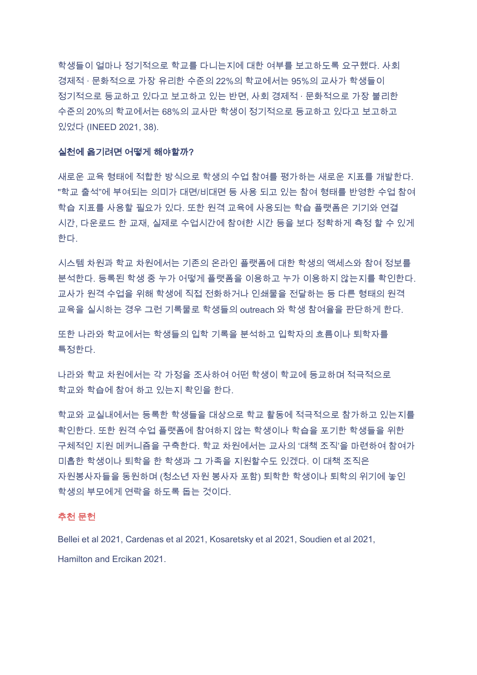학생들이 얼마나 정기적으로 학교를 다니는지에 대한 여부를 보고하도록 요구했다. 사회 경제적 · 문화적으로 가장 유리한 수준의 22%의 학교에서는 95%의 교사가 학생들이 정기적으로 등교하고 있다고 보고하고 있는 반면, 사회 경제적 · 문화적으로 가장 불리한 수준의 20%의 학교에서는 68%의 교사만 학생이 정기적으로 등교하고 있다고 보고하고 있었다 (INEED 2021, 38).

#### 실천에 옮기려면 어떻게 해야할까?

새로운 교육 형태에 적합한 방식으로 학생의 수업 참여를 평가하는 새로운 지표를 개발한다. "학교 출석"에 부여되는 의미가 대면/비대면 등 사용 되고 있는 참여 형태를 반영한 수업 참여 학습 지표를 사용할 필요가 있다. 또한 원격 교육에 사용되는 학습 플랫폼은 기기와 연결 시간, 다운로드 한 교재, 실제로 수업시간에 참여한 시간 등을 보다 정확하게 측정 할 수 있게 한다.

시스템 차원과 학교 차원에서는 기존의 온라인 플랫폼에 대한 학생의 액세스와 참여 정보를 분석한다. 등록된 학생 중 누가 어떻게 플랫폼을 이용하고 누가 이용하지 않는지를 확인한다. 교사가 원격 수업을 위해 학생에 직접 전화하거나 인쇄물을 전달하는 등 다른 형태의 원격 교육을 실시하는 경우 그런 기록물로 학생들의 outreach 와 학생 참여율을 판단하게 한다.

또한 나라와 학교에서는 학생들의 입학 기록을 분석하고 입학자의 흐름이나 퇴학자를 특정한다.

나라와 학교 차원에서는 각 가정을 조사하여 어떤 학생이 학교에 등교하며 적극적으로 학교와 학습에 참여 하고 있는지 확인을 한다.

학교와 교실내에서는 등록한 학생들을 대상으로 학교 활동에 적극적으로 참가하고 있는지를 확인한다. 또한 원격 수업 플랫폼에 참여하지 않는 학생이나 학습을 포기한 학생들을 위한 구체적인 지원 메커니즘을 구축한다. 학교 차원에서는 교사의 '대책 조직'을 마련하여 참여가 미흡한 학생이나 퇴학을 한 학생과 그 가족을 지원할수도 있겠다. 이 대책 조직은 자원봉사자들을 동원하며 (청소년 자원 봉사자 포함) 퇴학한 학생이나 퇴학의 위기에 놓인 학생의 부모에게 연락을 하도록 돕는 것이다.

#### 추천 문헌

Bellei et al 2021, Cardenas et al 2021, Kosaretsky et al 2021, Soudien et al 2021, Hamilton and Freikan 2021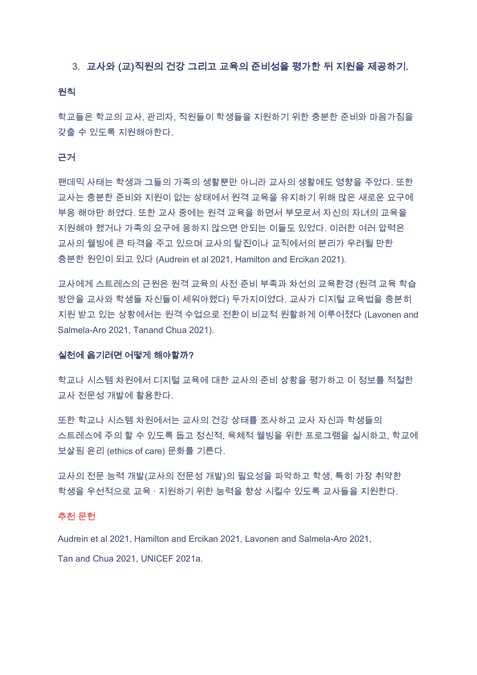#### 3. 교사와 (교)직원의 건강 그리고 교육의 준비성을 평가한 뒤 지원을 제공하기.

#### 원칙

학교들은 학교의 교사, 관리자, 직원들이 학생들을 지원하기 위한 충분한 준비와 마음가짐을 갖출 수 있도록 지원해야한다.

#### 근거

팬데믹 사태는 학생과 그들의 가족의 생활뿐만 아니라 교사의 생활에도 영향을 주었다. 또한 교사는 충분한 준비와 지원이 없는 상태에서 원격 교육을 유지하기 위해 많은 새로운 요구에 부응 해야만 하였다. 또한 교사 중에는 원격 교육을 하면서 부모로서 자신의 자녀의 교육을 지원해야 했거나 가족의 요구에 응하지 않으면 안되는 이들도 있었다. 이러한 여러 압력은 교사의 웰빙에 큰 타격을 주고 있으며 교사의 탈진이나 교직에서의 분리가 우려될 만한 충분한 원인이 되고 있다 (Audrein et al 2021, Hamilton and Ercikan 2021).

교사에게 스트레스의 근원은 원격 교육의 사전 준비 부족과 차선의 교육환경 (원격 교육 학습 방안을 교사와 학생들 자신들이 세워야했다) 두가지이였다. 교사가 디지털 교육법을 충분히 지원 받고 있는 상황에서는 원격 수업으로 전환이 비교적 원활하게 이루어졌다 (Lavonen and Salmela-Aro 2021, Tanand Chua 2021).

#### 실천에 옮기려면 어떻게 해야할까?

학교나 시스템 차원에서 디지털 교육에 대한 교사의 준비 상황을 평가하고 이 정보를 적절한 교사 전문성 개발에 활용한다.

또한 학교나 시스템 차원에서는 교사의 건강 상태를 조사하고 교사 자신과 학생들의 스트레스에 주의 할 수 있도록 돕고 정신적, 육체적 웰빙을 위한 프로그램을 실시하고, 학교에 보살핌 윤리 (ethics of care) 문화를 기른다.

교사의 전문 능력 개발(교사의 전문성 개발)의 필요성을 파악하고 학생, 특히 가장 취약한 학생을 우선적으로 교육 · 지원하기 위한 능력을 향상 시킬수 있도록 교사들을 지원한다.

#### 추천 문헌

Audrein et al 2021, Hamilton and Ercikan 2021, Lavonen and Salmela-Aro 2021, Tan and Chua 2021, UNICEF 2021a.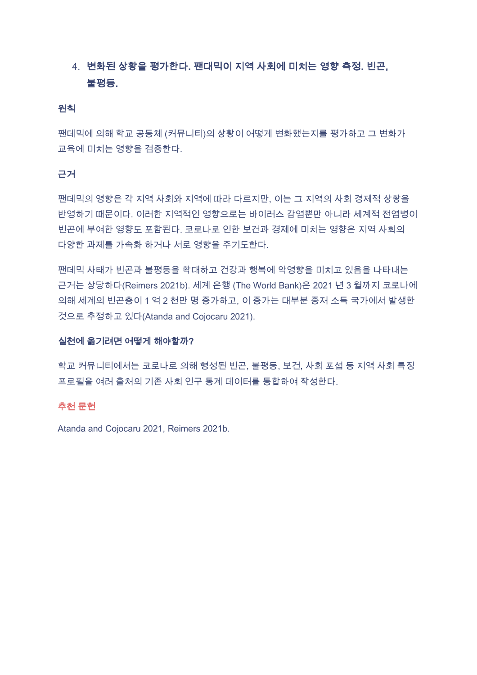## 4. 변화된 상황을 평가한다. 팬대믹이 지역 사회에 미치는 영향 측정, 빈곤, 불평등.

#### 원칙

팬데믹에 의해 학교 공동체 (커뮤니티)의 상황이 어떻게 변화했는지를 평가하고 그 변화가 교육에 미치는 영향을 검증한다.

#### 근거

팬데믹의 영향은 각 지역 사회와 지역에 따라 다르지만, 이는 그 지역의 사회 경제적 상황을 반영하기 때문이다. 이러한 지역적인 영향으로는 바이러스 감염뿐만 아니라 세계적 전염병이 빈곤에 부여한 영향도 포함된다. 코로나로 인한 보건과 경제에 미치는 영향은 지역 사회의 다양한 과제를 가속화 하거나 서로 영향을 주기도한다.

팬데믹 사태가 빈곤과 불평등을 확대하고 건강과 행복에 악영향을 미치고 있음을 나타내는 근거는 상당하다(Reimers 2021b), 세계 은행 (The World Bank)은 2021 년 3 월까지 코로나에 의해 세계의 빈곤층이 1 억 2 천만 명 증가하고, 이 증가는 대부분 중저 소득 국가에서 발생한 것으로 추정하고 있다(Atanda and Cojocaru 2021).

#### 실천에 옮기려면 어떻게 해야할까?

학교 커뮤니티에서는 코로나로 의해 형성된 빈곤, 불평등, 보건, 사회 포섭 등 지역 사회 특징 프로필을 여러 출처의 기존 사회 인구 통계 데이터를 통합하여 작성한다.

#### 추천 문헌

Atanda and Cojocaru 2021, Reimers 2021b.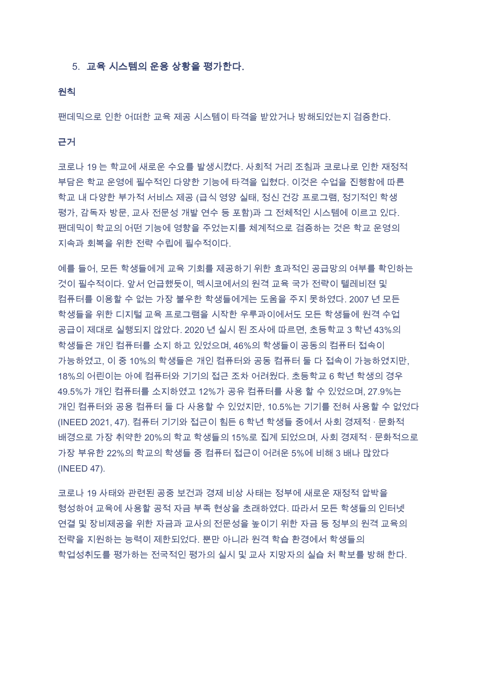#### 5. 교육 시스템의 운용 상황을 평가한다.

#### 원칙

팬데믹으로 인한 어떠한 교육 제공 시스템이 타격을 받았거나 방해되었는지 검증한다.

근거

코로나 19 는 학교에 새로운 수요를 발생시켰다. 사회적 거리 조침과 코로나로 인한 재정적 부담은 학교 운영에 필수적인 다양한 기능에 타격을 입혔다. 이것은 수업을 진행함에 따른 학교 내 다양한 부가적 서비스 제공 (급식 영양 실태, 정신 건강 프로그램, 정기적인 학생 평가, 감독자 방문, 교사 전문성 개발 연수 등 포함)과 그 전체적인 시스템에 이르고 있다. 팬데믹이 학교의 어떤 기능에 영향을 주었는지를 체계적으로 검증하는 것은 학교 운영의 지속과 회복을 위한 전략 수립에 필수적이다.

예를 들어. 모든 학생들에게 교육 기회를 제공하기 위한 효과적인 공급망의 여부를 확인하는 것이 필수적이다. 앞서 언급했듯이, 멕시코에서의 원격 교육 국가 전략이 텔레비젼 및 컴퓨터를 이용할 수 없는 가장 불우한 학생들에게는 도움을 주지 못하였다. 2007 년 모든 학생들을 위한 디지털 교육 프로그램을 시작한 우루과이에서도 모든 학생들에 원격 수업 공급이 제대로 실행되지 않았다. 2020 년 실시 된 조사에 따르면, 초등학교 3 학년 43%의 학생들은 개인 컴퓨터를 소지 하고 있었으며, 46%의 학생들이 공동의 컴퓨터 접속이 가능하였고, 이 중 10%의 학생들은 개인 컴퓨터와 공동 컴퓨터 둘 다 접속이 가능하였지만, 18%의 어린이는 아예 컴퓨터와 기기의 접근 조차 어려웠다. 초등학교 6 학년 학생의 경우 49.5%가 개인 컴퓨터를 소지하였고 12%가 공유 컴퓨터를 사용 할 수 있었으며, 27.9%는 개인 컴퓨터와 공용 컴퓨터 둘 다 사용할 수 있었지만, 10.5%는 기기를 전혀 사용할 수 없었다 (INEED 2021, 47). 컴퓨터 기기와 접근이 힘든 6 학년 학생들 중에서 사회 경제적 · 문화적 배경으로 가장 취약한 20%의 학교 학생들의 15%로 집계 되었으며, 사회 경제적 · 문화적으로 가장 부유한 22%의 학교의 학생들 중 컴퓨터 접근이 어려운 5%에 비해 3 배나 많았다 (INEED 47).

코로나 19 사태와 관련된 공중 보건과 경제 비상 사태는 정부에 새로운 재정적 압박을 형성하여 교육에 사용할 공적 자금 부족 현상을 초래하였다. 따라서 모든 학생들의 인터넷 연결 및 장비제공을 위한 자금과 교사의 전문성을 높이기 위한 자금 등 정부의 원격 교육의 전략을 지원하는 능력이 제한되었다. 뿐만 아니라 원격 학습 환경에서 학생들의 학업성취도를 평가하는 전국적인 평가의 실시 및 교사 지망자의 실습 처 확보를 방해 한다.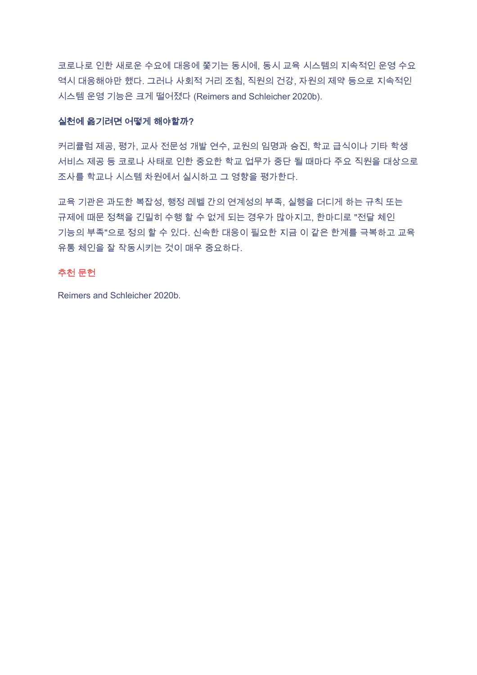코로나로 인한 새로운 수요에 대응에 쫓기는 동시에, 동시 교육 시스템의 지속적인 운영 수요 역시 대응해야만 했다. 그러나 사회적 거리 조침, 직원의 건강, 자원의 제약 등으로 지속적인 시스템 운영 기능은 크게 떨어졌다 (Reimers and Schleicher 2020b).

#### 실천에 옮기려면 어떻게 해야할까?

커리큘럼 제공, 평가, 교사 전문성 개발 연수, 교원의 임명과 승진, 학교 급식이나 기타 학생 서비스 제공 등 코로나 사태로 인한 중요한 학교 업무가 중단 될 때마다 주요 직원을 대상으로 조사를 학교나 시스템 차원에서 실시하고 그 영향을 평가한다.

교육 기관은 과도한 복잡성, 행정 레벨 간의 연계성의 부족, 실행을 더디게 하는 규칙 또는 규제에 때문 정책을 긴밀히 수행 할 수 없게 되는 경우가 많아지고, 한마디로 "전달 체인 기능의 부족"으로 정의 할 수 있다. 신속한 대응이 필요한 지금 이 같은 한계를 극복하고 교육 유통 체인을 잘 작동시키는 것이 매우 중요하다.

#### 추천 문헌

Reimers and Schleicher 2020b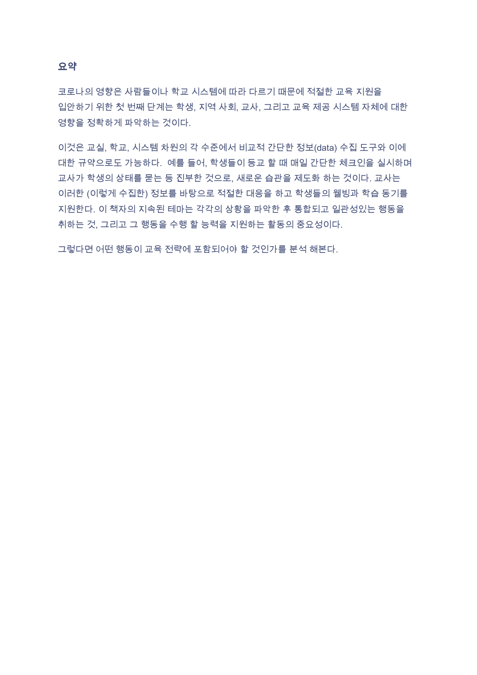#### 요약

코로나의 영향은 사람들이나 학교 시스템에 따라 다르기 때문에 적절한 교육 지원을 입안하기 위한 첫 번째 단계는 학생, 지역 사회, 교사, 그리고 교육 제공 시스템 자체에 대한 영향을 정확하게 파악하는 것이다.

이것은 교실, 학교, 시스템 차원의 각 수준에서 비교적 간단한 정보(data) 수집 도구와 이에 대한 규약으로도 가능하다. 예를 들어, 학생들이 등교 할 때 매일 간단한 체크인을 실시하며 교사가 학생의 상태를 묻는 등 진부한 것으로, 새로운 습관을 제도화 하는 것이다. 교사는 이러한 (이렇게 수집한) 정보를 바탕으로 적절한 대응을 하고 학생들의 웰빙과 학습 동기를 지원한다. 이 책자의 지속된 테마는 각각의 상황을 파악한 후 통합되고 일관성있는 행동을 취하는 것, 그리고 그 행동을 수행 할 능력을 지원하는 활동의 중요성이다.

그렇다면 어떤 행동이 교육 전략에 포함되어야 할 것인가를 분석 해본다.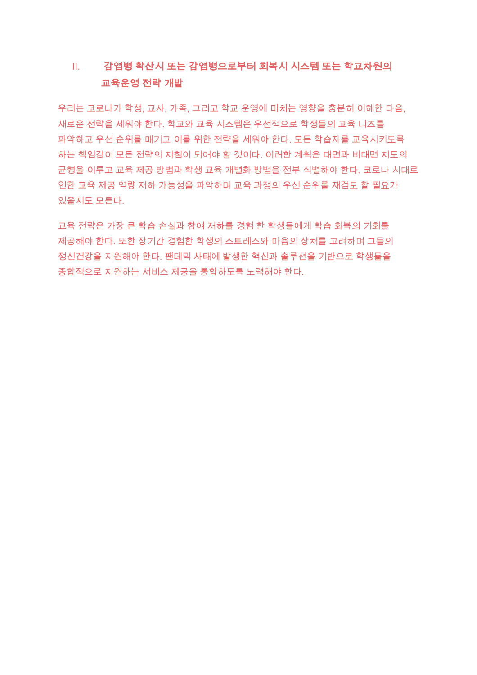#### 감염병 확산시 또는 감염병으로부터 회복시 시스템 또는 학교차원의  $\mathbf{H}_{\mathbf{r}}$ 교육운영 전략 개발

우리는 코로나가 학생, 교사, 가족, 그리고 학교 운영에 미치는 영향을 충분히 이해한 다음, 새로운 전략을 세워야 한다. 학교와 교육 시스템은 우선적으로 학생들의 교육 니즈를 파악하고 우선 순위를 매기고 이를 위한 전략을 세워야 한다. 모든 학습자를 교육시키도록 하는 책임감이 모든 전략의 지침이 되어야 할 것이다. 이러한 계획은 대면과 비대면 지도의 균형을 이루고 교육 제공 방법과 학생 교육 개별화 방법을 전부 식별해야 한다. 코로나 시대로 인한 교육 제공 역량 저하 가능성을 파악하며 교육 과정의 우선 순위를 재검토 할 필요가 있을지도 모른다.

교육 전략은 가장 큰 학습 손실과 참여 저하를 경험 한 학생들에게 학습 회복의 기회를 제공해야 한다. 또한 장기간 경험한 학생의 스트레스와 마음의 상처를 고려하며 그들의 정신건강을 지원해야 한다. 팬데믹 사태에 발생한 혁신과 솔루션을 기반으로 학생들을 종합적으로 지원하는 서비스 제공을 통합하도록 노력해야 한다.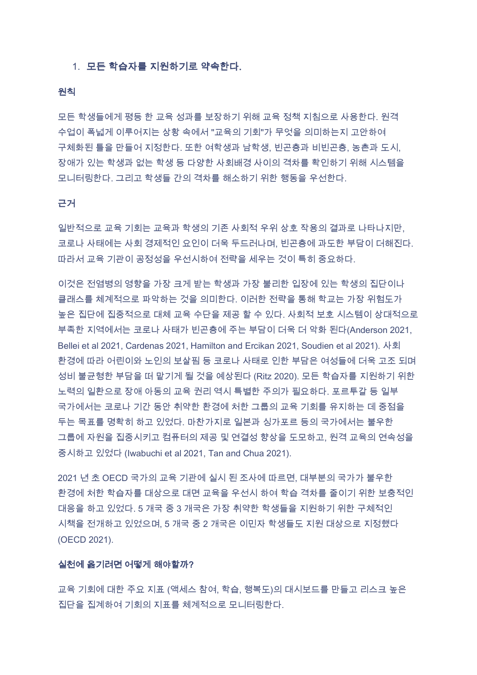#### 1. 모든 학습자를 지원하기로 약속한다.

#### 원칙

모든 학생들에게 평등 한 교육 성과를 보장하기 위해 교육 정책 지침으로 사용한다. 원격 수업이 폭넓게 이루어지는 상황 속에서 "교육의 기회"가 무엇을 의미하는지 고안하여 구체화된 틀을 만들어 지정한다. 또한 여학생과 남학생, 빈곤층과 비빈곤층, 농촌과 도시, 장애가 있는 학생과 없는 학생 등 다양한 사회배경 사이의 격차를 확인하기 위해 시스템을 모니터링한다. 그리고 학생들 간의 격차를 해소하기 위한 행동을 우선한다.

#### 근거

일반적으로 교육 기회는 교육과 학생의 기존 사회적 우위 상호 작용의 결과로 나타나지만, 코로나 사태에는 사회 경제적인 요인이 더욱 두드러나며, 빈곤층에 과도한 부담이 더해진다. 따라서 교육 기관이 공정성을 우선시하여 전략을 세우는 것이 특히 중요하다.

이것은 전염병의 영향을 가장 크게 받는 학생과 가장 불리한 입장에 있는 학생의 집단이나 클래스를 체계적으로 파악하는 것을 의미한다. 이러한 전략을 통해 학교는 가장 위험도가 높은 집단에 집중적으로 대체 교육 수단을 제공 할 수 있다. 사회적 보호 시스템이 상대적으로 부족한 지역에서는 코로나 사태가 빈곤층에 주는 부담이 더욱 더 악화 된다(Anderson 2021, Bellei et al 2021. Cardenas 2021. Hamilton and Ercikan 2021. Soudien et al 2021). 사회 환경에 따라 어린이와 노인의 보살핌 등 코로나 사태로 인한 부담은 여성들에 더욱 고조 되며 성비 불균형한 부담을 떠 맡기게 될 것을 예상된다 (Ritz 2020). 모든 학습자를 지원하기 위한 노력의 일환으로 장애 아동의 교육 권리 역시 특별한 주의가 필요하다. 포르투갈 등 일부 국가에서는 코로나 기간 동안 취약한 환경에 처한 그룹의 교육 기회를 유지하는 데 중점을 두는 목표를 명확히 하고 있었다. 마찬가지로 일본과 싱가포르 등의 국가에서는 불우한 그룹에 자원을 집중시키고 컴퓨터의 제공 및 연결성 향상을 도모하고, 원격 교육의 연속성을 중시하고 있었다 (Iwabuchi et al 2021, Tan and Chua 2021).

2021 년 초 OECD 국가의 교육 기관에 실시 된 조사에 따르면, 대부분의 국가가 불우한 환경에 처한 학습자를 대상으로 대면 교육을 우선시 하여 학습 격차를 줄이기 위한 보충적인 대응을 하고 있었다. 5 개국 중 3 개국은 가장 취약한 학생들을 지원하기 위한 구체적인 시책을 전개하고 있었으며, 5 개국 중 2 개국은 이민자 학생들도 지원 대상으로 지정했다. (OECD 2021).

#### 실천에 옮기려면 어떻게 해야할까?

교육 기회에 대한 주요 지표 (액세스 참여, 학습, 행복도)의 대시보드를 만들고 리스크 높은 집단을 집계하여 기회의 지표를 체계적으로 모니터링한다.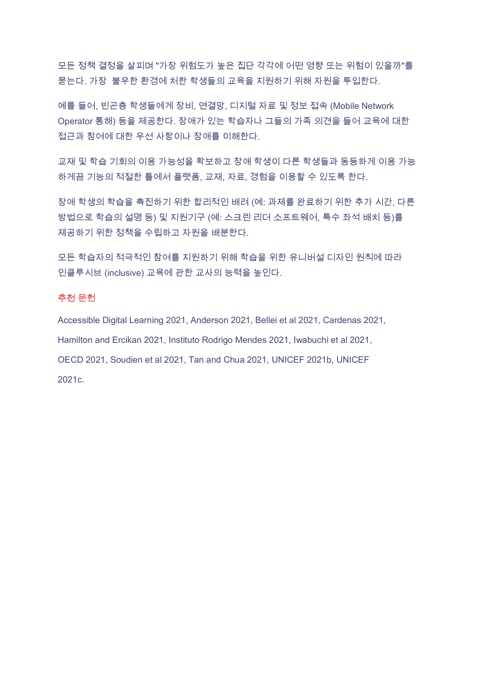모든 정책 결정을 살피며 "가장 위험도가 높은 집단 각각에 어떤 영향 또는 위험이 있을까"를 묻는다. 가장 불우한 환경에 처한 학생들의 교육을 지원하기 위해 자원을 투입한다.

예를 들어, 빈곤층 학생들에게 장비, 연결망, 디지털 자료 및 정보 접속 (Mobile Network Operator 통해) 등을 제공한다. 장애가 있는 학습자나 그들의 가족 의견을 들어 교육에 대한 접근과 참여에 대한 우선 사항이나 장애를 이해한다.

교재 및 학습 기회의 이용 가능성을 확보하고 장애 학생이 다른 학생들과 동등하게 이용 가능 하게끔 기능의 적절한 틀에서 플랫폼, 교재, 자료, 경험을 이용할 수 있도록 한다.

장애 학생의 학습을 촉진하기 위한 합리적인 배려 (예: 과제를 완료하기 위한 추가 시간, 다른 방법으로 학습의 설명 등) 및 지원기구 (예: 스크린 리더 소프트웨어, 특수 좌석 배치 등)를 제공하기 위한 정책을 수립하고 자원을 배분한다.

모든 학습자의 적극적인 참여를 지원하기 위해 학습을 위한 유니버설 디자인 원칙에 따라 인클루시브 (inclusive) 교육에 관한 교사의 능력을 높인다.

#### 추천 문헌

Accessible Digital Learning 2021, Anderson 2021, Bellei et al 2021, Cardenas 2021, Hamilton and Ercikan 2021, Instituto Rodrigo Mendes 2021, Iwabuchi et al 2021, OECD 2021, Soudien et al 2021, Tan and Chua 2021, UNICEF 2021b, UNICEF 2021c.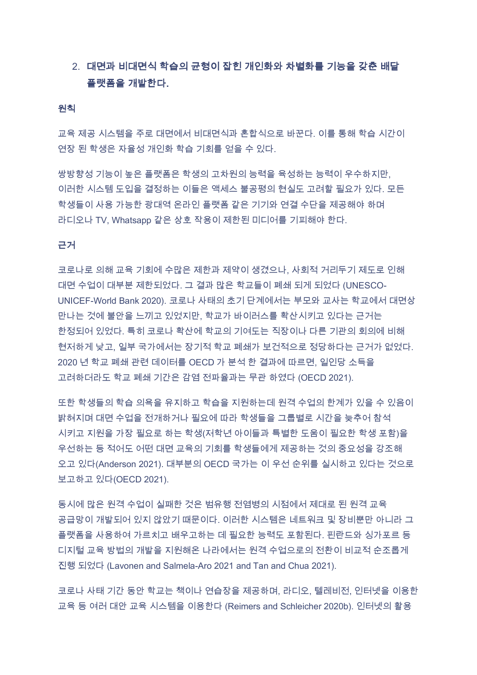## 2. 대면과 비대면식 학습의 균형이 잡힌 개인화와 차별화를 기능을 갖춘 배달 플랫폼을 개발한다.

#### 원칙

교육 제공 시스템을 주로 대면에서 비대면식과 혼합식으로 바꾼다. 이를 통해 학습 시간이 연장 된 학생은 자율성 개인화 학습 기회를 얻을 수 있다.

쌍방향성 기능이 높은 플랫폼은 학생의 고차원의 능력을 육성하는 능력이 우수하지만, 이러한 시스템 도입을 결정하는 이들은 액세스 불공평의 현실도 고려할 필요가 있다. 모든 학생들이 사용 가능한 광대역 온라인 플랫폼 같은 기기와 연결 수단을 제공해야 하며 라디오나 TV. Whatsapp 같은 상호 작용이 제한된 미디어를 기피해야 한다.

#### 근거

코로나로 의해 교육 기회에 수많은 제한과 제약이 생겼으나. 사회적 거리두기 제도로 인해 대면 수업이 대부분 제한되었다. 그 결과 많은 학교들이 폐쇄 되게 되었다 (UNESCO-UNICEF-World Bank 2020). 코로나 사태의 초기 단계에서는 부모와 교사는 학교에서 대면상 만나는 것에 불안을 느끼고 있었지만, 학교가 바이러스를 확산시키고 있다는 근거는 한정되어 있었다. 특히 코로나 확산에 학교의 기여도는 직장이나 다른 기관의 회의에 비해 현저하게 낮고, 일부 국가에서는 장기적 학교 폐쇄가 보건적으로 정당하다는 근거가 없었다. 2020 년 학교 폐쇄 관련 데이터를 OECD 가 분석 한 결과에 따르면, 일인당 소득을 고려하더라도 학교 폐쇄 기간은 감염 전파율과는 무관 하였다 (OECD 2021).

또한 학생들의 학습 의욕을 유지하고 학습을 지원하는데 원격 수업의 한계가 있을 수 있음이 밝혀지며 대면 수업을 전개하거나 필요에 따라 학생들을 그룹별로 시간을 늦추어 참석 시키고 지원을 가장 필요로 하는 학생(저학년 아이들과 특별한 도움이 필요한 학생 포함)을 우선하는 등 적어도 어떤 대면 교육의 기회를 학생들에게 제공하는 것의 중요성을 강조해 오고 있다(Anderson 2021). 대부분의 OECD 국가는 이 우선 순위를 실시하고 있다는 것으로 보고하고 있다(OECD 2021).

동시에 많은 원격 수업이 실패한 것은 범유행 전염병의 시점에서 제대로 된 원격 교육 공급망이 개발되어 있지 않았기 때문이다. 이러한 시스템은 네트워크 및 장비뿐만 아니라 그 플랫폼을 사용하여 가르치고 배우고하는 데 필요한 능력도 포함된다. 핀란드와 싱가포르 등 디지털 교육 방법의 개발을 지원해온 나라에서는 원격 수업으로의 전환이 비교적 순조롭게 진행 되었다 (Lavonen and Salmela-Aro 2021 and Tan and Chua 2021).

코로나 사태 기간 동안 학교는 책이나 연습장을 제공하며, 라디오, 텔레비전, 인터넷을 이용한 교육 등 여러 대안 교육 시스템을 이용한다 (Reimers and Schleicher 2020b). 인터넷의 활용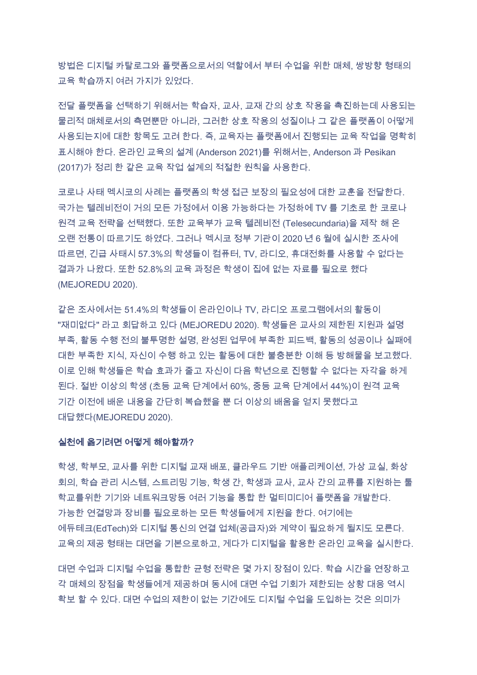방법은 디지털 카탈로그와 플랫폼으로서의 역할에서 부터 수업을 위한 매체, 쌍방향 형태의 교육 학습까지 여러 가지가 있었다.

전달 플랫폼을 선택하기 위해서는 학습자, 교사, 교재 간의 상호 작용을 촉진하는데 사용되는 물리적 매체로서의 측면뿐만 아니라. 그러한 상호 작용의 성질이나 그 같은 플랫폼이 어떻게 사용되는지에 대한 항목도 고려 한다. 즉, 교육자는 플랫폼에서 진행되는 교육 작업을 명확히 표시해야 한다. 온라인 교육의 설계 (Anderson 2021)를 위해서는, Anderson 과 Pesikan (2017)가 정리 한 같은 교육 작업 설계의 적절한 원칙을 사용한다.

코로나 사태 멕시코의 사례는 플랫폼의 학생 접근 보장의 필요성에 대한 교훈을 전달한다. 국가는 텔레비전이 거의 모든 가정에서 이용 가능하다는 가정하에 TV 를 기초로 한 코로나 원격 교육 전략을 선택했다. 또한 교육부가 교육 텔레비전 (Telesecundaria)을 제작 해 온 오랜 전통이 따르기도 하였다. 그러나 멕시코 정부 기관이 2020 년 6 월에 실시한 조사에 '따르면, 긴급 사태시 57.3%의 학생들이 컴퓨터, TV, 라디오, 휴대전화를 사용할 수 없다는 결과가 나왔다. 또한 52.8%의 교육 과정은 학생이 집에 없는 자료를 필요로 했다. (MEJOREDU 2020).

같은 조사에서는 51.4%의 학생들이 온라인이나 TV, 라디오 프로그램에서의 활동이 "재미없다" 라고 회답하고 있다 (MEJOREDU 2020). 학생들은 교사의 제한된 지원과 설명 부족, 활동 수행 전의 불투명한 설명, 완성된 업무에 부족한 피드백, 활동의 성공이나 실패에 대한 부족한 지식, 자신이 수행 하고 있는 활동에 대한 불충분한 이해 등 방해물을 보고했다. 이로 인해 학생들은 학습 효과가 줄고 자신이 다음 학년으로 진행할 수 없다는 자각을 하게 된다. 절반 이상의 학생 (초등 교육 단계에서 60%, 중등 교육 단계에서 44%)이 원격 교육 기간 이전에 배운 내용을 간단히 복습했을 뿐 더 이상의 배움을 얻지 못했다고 대답했다(MEJOREDU 2020).

#### 실천에 옮기려면 어떻게 해야할까?

학생, 학부모, 교사를 위한 디지털 교재 배포, 클라우드 기반 애플리케이션, 가상 교실, 화상 회의, 학습 관리 시스템, 스트리밍 기능, 학생 간, 학생과 교사, 교사 간의 교류를 지원하는 툴 학교를위한 기기와 네트워크망등 여러 기능을 통합 한 멀티미디어 플랫폼을 개발한다. 가능한 연결망과 장비를 필요로하는 모든 학생들에게 지원을 한다. 여기에는 에듀테크(EdTech)와 디지털 통신의 연결 업체(공급자)와 계약이 필요하게 될지도 모른다. 교육의 제공 형태는 대면을 기본으로하고, 게다가 디지털을 활용한 온라인 교육을 실시한다.

대면 수업과 디지털 수업을 통합한 균형 전략은 몇 가지 장점이 있다. 학습 시간을 연장하고 각 매체의 장점을 학생들에게 제공하며 동시에 대면 수업 기회가 제한되는 상황 대응 역시 확보 할 수 있다. 대면 수업의 제한이 없는 기간에도 디지털 수업을 도입하는 것은 의미가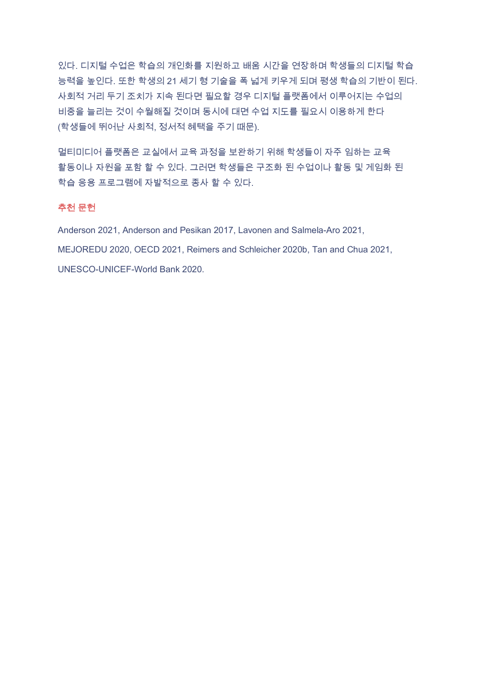있다. 디지털 수업은 학습의 개인화를 지원하고 배움 시간을 연장하며 학생들의 디지털 학습 능력을 높인다. 또한 학생의 21 세기 형 기술을 폭 넓게 키우게 되며 평생 학습의 기반이 된다. 사회적 거리 두기 조치가 지속 된다면 필요할 경우 디지털 플랫폼에서 이루어지는 수업의 비중을 늘리는 것이 수월해질 것이며 동시에 대면 수업 지도를 필요시 이용하게 한다 (학생들에 뛰어난 사회적, 정서적 혜택을 주기 때문).

멀티미디어 플랫폼은 교실에서 교육 과정을 보완하기 위해 학생들이 자주 임하는 교육 활동이나 자원을 포함 할 수 있다. 그러면 학생들은 구조화 된 수업이나 활동 및 게임화 된 학습 응용 프로그램에 자발적으로 종사 할 수 있다.

#### 추천 문헌

Anderson 2021, Anderson and Pesikan 2017, Lavonen and Salmela-Aro 2021,

MEJOREDU 2020, OECD 2021, Reimers and Schleicher 2020b, Tan and Chua 2021,

UNESCO-UNICEF-World Bank 2020.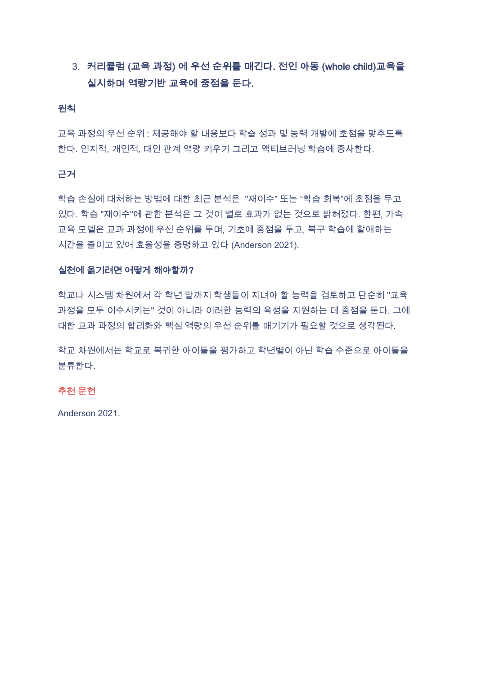## 3. 커리큘럼 (교육 과정) 에 우선 순위를 매긴다. 전인 아동 (whole child)교육을 실시하며 역량기반 교육에 중점을 둔다.

#### 원칙

교육 과정의 우선 순위 : 제공해야 할 내용보다 학습 성과 및 능력 개발에 초점을 맞추도록 한다. 인지적, 개인적, 대인 관계 역량 키우기 그리고 액티브러닝 학습에 종사한다.

#### 근거

학습 손실에 대처하는 방법에 대한 최근 분석은 "재이수" 또는 "학습 회복"에 초점을 두고 있다. 학습 "재이수"에 관한 분석은 그 것이 별로 효과가 없는 것으로 밝혀졌다. 한편, 가속 교육 모델은 교과 과정에 우선 순위를 두며, 기초에 중점을 두고, 복구 학습에 할애하는 시간을 줄이고 있어 효율성을 증명하고 있다 (Anderson 2021).

#### 실천에 옮기려면 어떻게 해야할까?

학교나 시스템 차원에서 각 학년 말까지 학생들이 지녀야 할 능력을 검토하고 단순히 "교육 과정을 모두 이수시키는" 것이 아니라 이러한 능력의 육성을 지원하는 데 중점을 둔다. 그에 대한 교과 과정의 합리화와 핵심 역량의 우선 순위를 매기기가 필요할 것으로 생각된다.

학교 차원에서는 학교로 복귀한 아이들을 평가하고 학년별이 아닌 학습 수준으로 아이들을 분류한다.

#### 추천 문헌

Anderson 2021.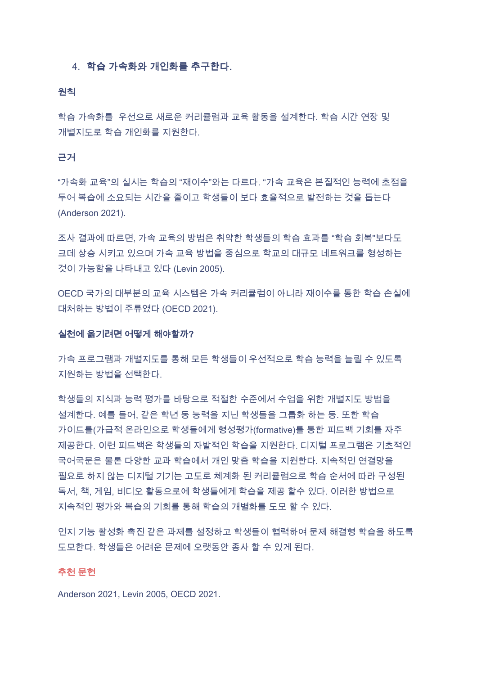#### 4. 학습 가속화와 개인화를 추구한다.

#### 원칙

학습 가속화를 우선으로 새로운 커리큘럼과 교육 활동을 설계한다. 학습 시간 연장 및 개별지도로 학습 개인화를 지원한다.

#### 근거

"가속화 교육"의 실시는 학습의 "재이수"와는 다르다. "가속 교육은 본질적인 능력에 초점을 두어 복습에 소요되는 시간을 줄이고 학생들이 보다 효율적으로 발전하는 것을 돕는다 (Anderson 2021).

조사 결과에 따르면, 가속 교육의 방법은 취약한 학생들의 학습 효과를 "학습 회복"보다도 크데 상승 시키고 있으며 가속 교육 방법을 중심으로 학교의 대규모 네트워크를 형성하는 것이 가능함을 나타내고 있다 (Levin 2005).

OECD 국가의 대부분의 교육 시스템은 가속 커리큘럼이 아니라 재이수를 통한 학습 손실에 대처하는 방법이 주류였다 (OECD 2021).

#### 실천에 옮기려면 어떻게 해야할까?

가속 프로그램과 개별지도를 통해 모든 학생들이 우선적으로 학습 능력을 늘릴 수 있도록 지원하는 방법을 선택한다.

학생들의 지식과 능력 평가를 바탕으로 적절한 수준에서 수업을 위한 개별지도 방법을 설계한다. 예를 들어, 같은 학년 동 능력을 지닌 학생들을 그룹화 하는 등. 또한 학습 가이드를(가급적 온라인으로 학생들에게 형성평가(formative)를 통한 피드백 기회를 자주 제공한다. 이런 피드백은 학생들의 자발적인 학습을 지원한다. 디지털 프로그램은 기초적인 국어국문은 물론 다양한 교과 학습에서 개인 맞춤 학습을 지원한다. 지속적인 연결망을 필요로 하지 않는 디지털 기기는 고도로 체계화 된 커리큘럼으로 학습 순서에 따라 구성된 독서, 책, 게임, 비디오 활동으로에 학생들에게 학습을 제공 할수 있다. 이러한 방법으로 지속적인 평가와 복습의 기회를 통해 학습의 개별화를 도모 할 수 있다.

인지 기능 활성화 촉진 같은 과제를 설정하고 학생들이 협력하여 문제 해결형 학습을 하도록 도모한다. 학생들은 어려운 문제에 오랫동안 종사 할 수 있게 된다.

#### 추천 문헌

Anderson 2021, Levin 2005, OECD 2021.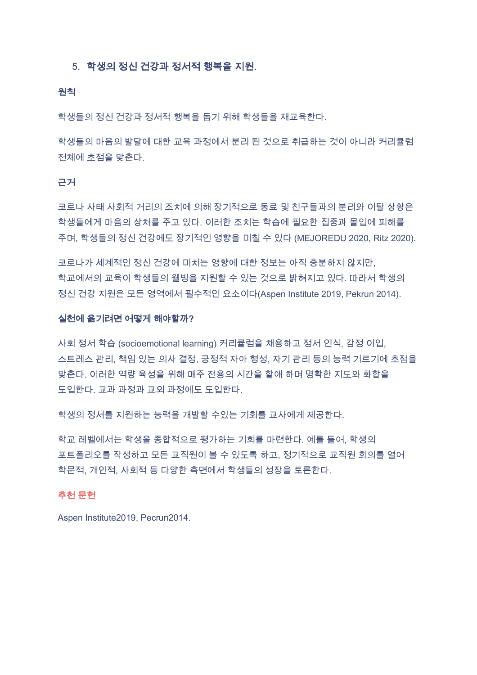#### 5. 학생의 정신 건강과 정서적 행복을 지원.

#### 원칙

학생들의 정신 건강과 정서적 행복을 돕기 위해 학생들을 재교육한다.

학생들의 마음의 발달에 대한 교육 과정에서 분리 된 것으로 취급하는 것이 아니라 커리큘럼 전체에 초점을 맞춘다.

#### 근거

코로나 사태 사회적 거리의 조치에 의해 장기적으로 동료 및 친구들과의 분리와 이탈 상황은 학생들에게 마음의 상처를 주고 있다. 이러한 조치는 학습에 필요한 집중과 몰입에 피해를 주며, 학생들의 정신 건강에도 장기적인 영향을 미칠 수 있다 (MEJOREDU 2020, Ritz 2020).

코로나가 세계적인 정신 건강에 미치는 영향에 대한 정보는 아직 충분하지 않지만. 학교에서의 교육이 학생들의 웰빙을 지원할 수 있는 것으로 밝혀지고 있다. 따라서 학생의 정신 건강 지원은 모든 영역에서 필수적인 요소이다(Aspen Institute 2019, Pekrun 2014).

#### 실천에 옮기려면 어떻게 해야할까?

사회 정서 학습 (socioemotional learning) 커리큘럼을 채용하고 정서 인식, 감정 이입, 스트레스 관리, 책임 있는 의사 결정, 긍정적 자아 형성, 자기 관리 등의 능력 기르기에 초점을 맞춘다. 이러한 역량 육성을 위해 매주 전용의 시간을 할애 하며 명확한 지도와 화합을 도입한다. 교과 과정과 교외 과정에도 도입한다.

학생의 정서를 지원하는 능력을 개발할 수있는 기회를 교사에게 제공한다.

학교 레벨에서는 학생을 종합적으로 평가하는 기회를 마련한다. 예를 들어, 학생의 포트폴리오를 작성하고 모든 교직원이 볼 수 있도록 하고, 정기적으로 교직원 회의를 열어 학문적, 개인적, 사회적 등 다양한 측면에서 학생들의 성장을 토론한다.

#### 추천 문헌

Aspen Institute2019. Pecrun2014.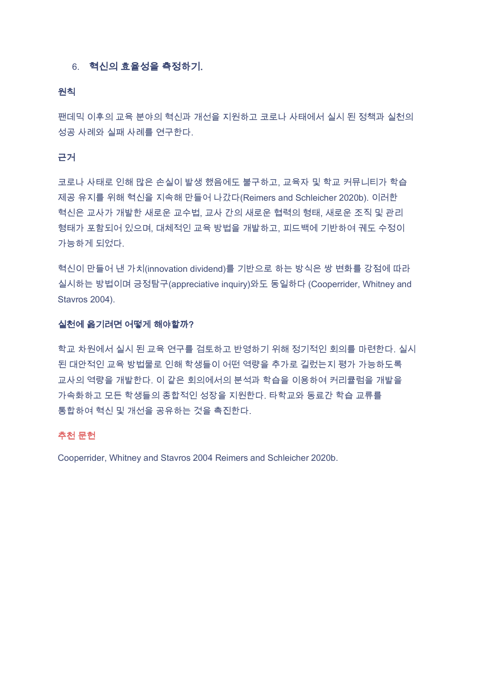#### 6. 혁신의 효율성을 측정하기.

#### 원칙

팬데믹 이후의 교육 분야의 혁신과 개선을 지원하고 코로나 사태에서 실시 된 정책과 실천의 성공 사례와 실패 사례를 연구한다.

#### 근거

코로나 사태로 인해 많은 손실이 발생 했음에도 불구하고, 교육자 및 학교 커뮤니티가 학습 제공 유지를 위해 혁신을 지속해 만들어 나갔다(Reimers and Schleicher 2020b). 이러한 혁신은 교사가 개발한 새로운 교수법, 교사 간의 새로운 협력의 형태, 새로운 조직 및 관리 형태가 포함되어 있으며, 대체적인 교육 방법을 개발하고, 피드백에 기반하여 궤도 수정이 가능하게 되었다.

혁신이 만들어 낸 가치(innovation dividend)를 기반으로 하는 방식은 쌍 변화를 강점에 따라 실시하는 방법이며 긍정탐구(appreciative inquiry)와도 동일하다 (Cooperrider, Whitney and Stavros 2004).

#### 실천에 옮기려면 어떻게 해야할까?

학교 차원에서 실시 된 교육 연구를 검토하고 반영하기 위해 정기적인 회의를 마련한다. 실시 된 대안적인 교육 방법물로 인해 학생들이 어떤 역량을 추가로 길렀는지 평가 가능하도록 교사의 역량을 개발한다. 이 같은 회의에서의 분석과 학습을 이용하여 커리큘럼을 개발을 가속화하고 모든 학생들의 종합적인 성장을 지원한다. 타학교와 동료간 학습 교류를 통합하여 혁신 및 개선을 공유하는 것을 촉진한다.

#### 추천 문헌

Cooperrider, Whitney and Stavros 2004 Reimers and Schleicher 2020b.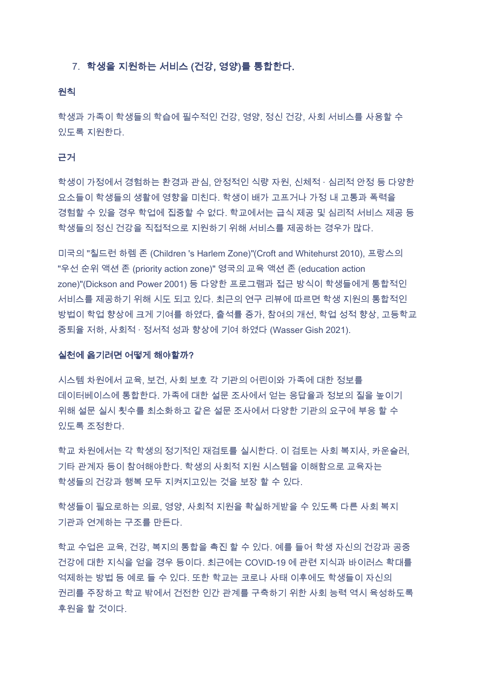#### 7. 학생을 지원하는 서비스 (건강, 영양)를 통합한다.

#### 원칙

학생과 가족이 학생들의 학습에 필수적인 건강, 영양, 정신 건강, 사회 서비스를 사용할 수 있도록 지원한다.

#### 근거

학생이 가정에서 경험하는 환경과 관심, 안정적인 식량 자원, 신체적 · 심리적 안정 등 다양한 요소들이 학생들의 생활에 영향을 미친다. 학생이 배가 고프거나 가정 내 고통과 폭력을 경험할 수 있을 경우 학업에 집중할 수 없다. 학교에서는 급식 제공 및 심리적 서비스 제공 등 학생들의 정신 건강을 직접적으로 지원하기 위해 서비스를 제공하는 경우가 많다.

미국의 "칠드런 하렘 존 (Children 's Harlem Zone)"(Croft and Whitehurst 2010), 프랑스의 "우선 순위 액션 존 (priority action zone)" 영국의 교육 액션 존 (education action zone)"(Dickson and Power 2001) 등 다양한 프로그램과 접근 방식이 학생들에게 통합적인 서비스를 제공하기 위해 시도 되고 있다. 최근의 연구 리뷰에 따르면 학생 지원의 통합적인 방법이 학업 향상에 크게 기여를 하였다. 출석률 증가, 참여의 개선, 학업 성적 향상, 고등학교 중퇴율 저하, 사회적 · 정서적 성과 향상에 기여 하였다 (Wasser Gish 2021).

#### 실천에 옮기려면 어떻게 해야할까?

시스템 차원에서 교육, 보건, 사회 보호 각 기관의 어린이와 가족에 대한 정보를 데이터베이스에 통합한다. 가족에 대한 설문 조사에서 얻는 응답율과 정보의 질을 높이기 위해 설문 실시 횟수를 최소화하고 같은 설문 조사에서 다양한 기관의 요구에 부응 할 수 있도록 조정한다.

학교 차원에서는 각 학생의 정기적인 재검토를 실시한다. 이 검토는 사회 복지사, 카운슬러, 기타 관계자 등이 참여해야한다. 학생의 사회적 지원 시스템을 이해함으로 교육자는 학생들의 건강과 행복 모두 지켜지고있는 것을 보장 할 수 있다.

학생들이 필요로하는 의료. 영양, 사회적 지원을 확실하게받을 수 있도록 다른 사회 복지 기관과 연계하는 구조를 만든다.

학교 수업은 교육, 건강, 복지의 통합을 촉진 할 수 있다. 예를 들어 학생 자신의 건강과 공중 건강에 대한 지식을 얻을 경우 등이다. 최근에는 COVID-19 에 관련 지식과 바이러스 확대를 억제하는 방법 등 예로 들 수 있다. 또한 학교는 코로나 사태 이후에도 학생들이 자신의 권리를 주장하고 학교 밖에서 건전한 인간 관계를 구축하기 위한 사회 능력 역시 육성하도록 후원을 할 것이다.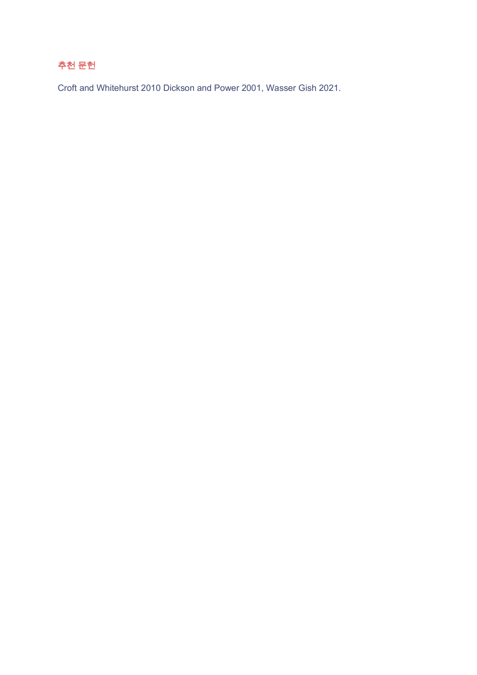## 추천 문헌

Croft and Whitehurst 2010 Dickson and Power 2001, Wasser Gish 2021.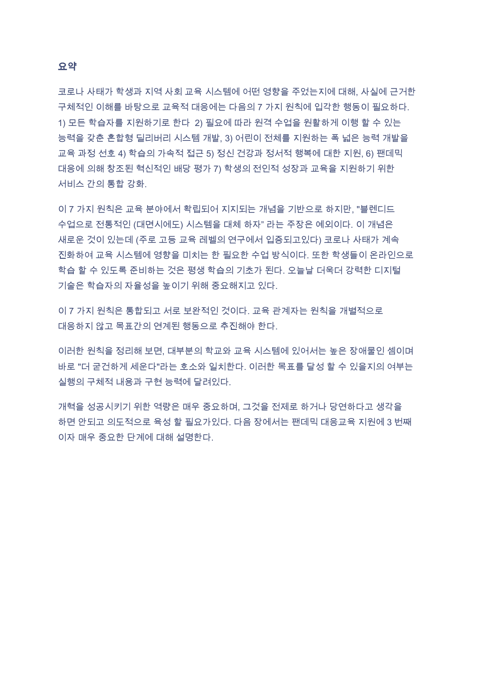#### 요약

코로나 사태가 학생과 지역 사회 교육 시스템에 어떤 영향을 주었는지에 대해. 사실에 근거한 구체적인 이해를 바탕으로 교육적 대응에는 다음의 7 가지 원칙에 입각한 행동이 필요하다. 1) 모든 학습자를 지원하기로 한다\_2) 필요에 따라 원격 수업을 원활하게 이행 할 수 있는 능력을 갖춘 혼합형 딜리버리 시스템 개발, 3) 어린이 전체를 지원하는 폭 넓은 능력 개발을 교육 과정 선호 4) 학습의 가속적 접근 5) 정신 건강과 정서적 행복에 대한 지원, 6) 팬데믹 대응에 의해 창조된 혁신적인 배당 평가 7) 학생의 전인적 성장과 교육을 지원하기 위한 서비스 간의 통합 강화.

이 7 가지 원칙은 교육 분야에서 확립되어 지지되는 개념을 기반으로 하지만, "블렌디드 수업으로 전통적인 (대면시에도) 시스템을 대체 하자" 라는 주장은 예외이다. 이 개념은 새로운 것이 있는데 (주로 고등 교육 레벨의 연구에서 입증되고있다) 코로나 사태가 계속 진화하여 교육 시스템에 영향을 미치는 한 필요한 수업 방식이다. 또한 학생들이 온라인으로 학습 할 수 있도록 준비하는 것은 평생 학습의 기초가 된다. 오늘날 더욱더 강력한 디지털 기술은 학습자의 자율성을 높이기 위해 중요해지고 있다.

이 7 가지 원칙은 통합되고 서로 보완적인 것이다. 교육 관계자는 원칙을 개별적으로 대응하지 않고 목표간의 여계된 행동으로 추진해야 한다.

이러한 원칙을 정리해 보면, 대부분의 학교와 교육 시스템에 있어서는 높은 장애물인 셈이며 바로 "더 굳건하게 세운다"라는 호소와 일치한다. 이러한 목표를 달성 할 수 있을지의 여부는 실행의 구체적 내용과 구현 능력에 달려있다.

개혁을 성공시키기 위한 역량은 매우 중요하며, 그것을 전제로 하거나 당연하다고 생각을 하면 안되고 의도적으로 육성 할 필요가있다. 다음 장에서는 팬데믹 대응교육 지원에 3 번째 이자 매우 중요한 단계에 대해 설명한다.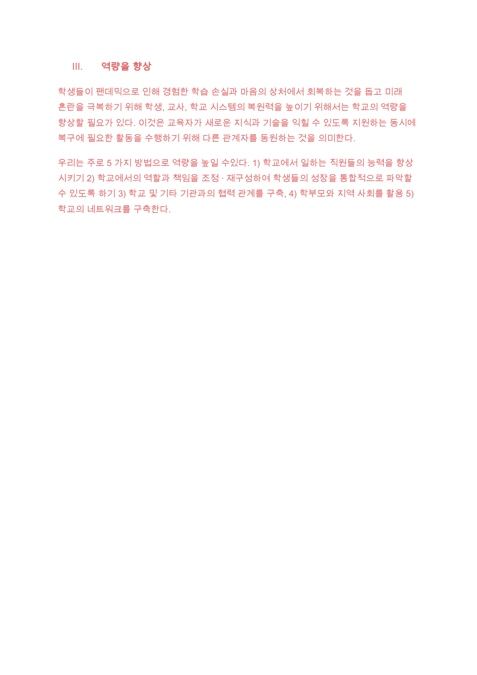#### Ⅲ. 역량을 향상

학생들이 팬데믹으로 인해 경험한 학습 손실과 마음의 상처에서 회복하는 것을 돕고 미래 혼란을 극복하기 위해 학생, 교사, 학교 시스템의 복원력을 높이기 위해서는 학교의 역량을 향상할 필요가 있다. 이것은 교육자가 새로운 지식과 기술을 익힐 수 있도록 지원하는 동시에 복구에 필요한 활동을 수행하기 위해 다른 관계자를 동원하는 것을 의미한다.

우리는 주로 5 가지 방법으로 역량을 높일 수있다. 1) 학교에서 일하는 직원들의 능력을 향상 시키기 2) 학교에서의 역할과 책임을 조정 · 재구성하여 학생들의 성장을 통합적으로 파악할 수 있도록 하기 3) 학교 및 기타 기관과의 협력 관계를 구축, 4) 학부모와 지역 사회를 활용 5) 학교의 네트워크를 구축한다.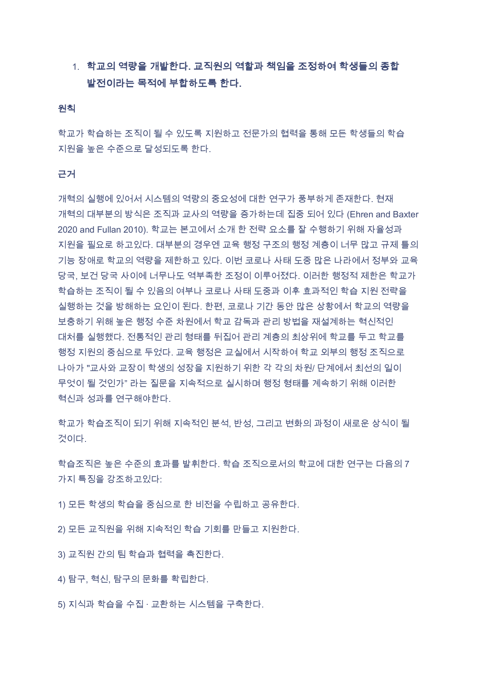## 1. 학교의 역량을 개발한다. 교직원의 역할과 책임을 조정하여 학생들의 종합 발전이라는 목적에 부합하도록 한다.

#### 원칙

학교가 학습하는 조직이 될 수 있도록 지원하고 전문가의 협력을 통해 모든 학생들의 학습 지원을 높은 수준으로 달성되도록 한다.

#### 근거

개혁의 실행에 있어서 시스템의 역량의 중요성에 대한 연구가 풍부하게 존재한다. 현재 개혁의 대부분의 방식은 조직과 교사의 역량을 증가하는데 집중 되어 있다 (Ehren and Baxter 2020 and Fullan 2010). 학교는 본고에서 소개 한 전략 요소를 잘 수행하기 위해 자율성과 지원을 필요로 하고있다. 대부분의 경우엔 교육 행정 구조의 행정 계층이 너무 많고 규제 틀의 기능 장애로 학교의 역량을 제한하고 있다. 이번 코로나 사태 도중 많은 나라에서 정부와 교육 당국, 보건 당국 사이에 너무나도 역부족한 조정이 이루어졌다. 이러한 행정적 제한은 학교가 학습하는 조직이 될 수 있음의 여부나 코로나 사태 도중과 이후 효과적인 학습 지원 전략을 실행하는 것을 방해하는 요인이 된다. 한편, 코로나 기간 동안 많은 상황에서 학교의 역량을 보충하기 위해 높은 행정 수준 차원에서 학교 감독과 관리 방법을 재설계하는 혁신적인 대처를 실행했다. 전통적인 관리 형태를 뒤집어 관리 계층의 최상위에 학교를 두고 학교를 행정 지원의 중심으로 두었다. 교육 행정은 교실에서 시작하여 학교 외부의 행정 조직으로 나아가 "교사와 교장이 학생의 성장을 지원하기 위한 각 각의 차원/ 단계에서 최선의 일이 무엇이 될 것인가" 라는 질문을 지속적으로 실시하며 행정 형태를 계속하기 위해 이러한 혁신과 성과를 연구해야한다.

학교가 학습조직이 되기 위해 지속적인 분석, 반성, 그리고 변화의 과정이 새로운 상식이 될 것이다

학습조직은 높은 수준의 효과를 발휘한다. 학습 조직으로서의 학교에 대한 연구는 다음의 7 가지 특징을 강조하고있다<sup>.</sup>

- 1) 모든 학생의 학습을 중심으로 한 비전을 수립하고 공유한다.
- 2) 모든 교직원을 위해 지속적인 학습 기회를 만들고 지원한다.
- 3) 교직원 간의 팀 학습과 협력을 촉진한다.
- 4) 탐구, 혁신, 탐구의 문화를 확립한다.
- 5) 지식과 학습을 수집 · 교환하는 시스템을 구축한다.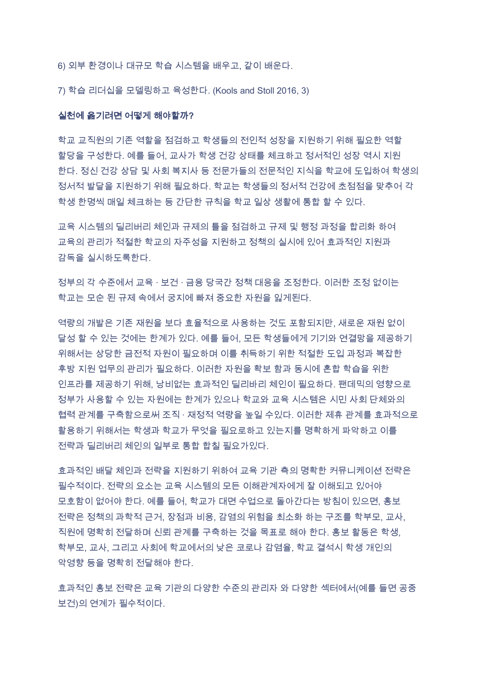6) 외부 환경이나 대규모 학습 시스템을 배우고, 같이 배운다.

7) 학습 리더십을 모델링하고 육성한다. (Kools and Stoll 2016, 3)

#### 실천에 옮기려면 어떻게 해야할까?

학교 교직원의 기존 역할을 점검하고 학생들의 전인적 성장을 지원하기 위해 필요한 역할 할당을 구성한다. 예를 들어, 교사가 학생 건강 상태를 체크하고 정서적인 성장 역시 지원 한다. 정신 건강 상담 및 사회 복지사 등 전문가들의 전문적인 지식을 학교에 도입하여 학생의 정서적 발달을 지원하기 위해 필요하다. 학교는 학생들의 정서적 건강에 초점점을 맞추어 각 학생 한명씩 매일 체크하는 등 간단한 규칙을 학교 일상 생활에 통합 할 수 있다.

교육 시스템의 딜리버리 체인과 규제의 틀을 점검하고 규제 및 행정 과정을 합리화 하여 교육의 관리가 적절한 학교의 자주성을 지원하고 정책의 실시에 있어 효과적인 지원과 감독을 실시하도록한다.

정부의 각 수준에서 교육 · 보건 · 금융 당국간 정책 대응을 조정한다. 이러한 조정 없이는 학교는 모순 된 규제 속에서 궁지에 빠져 중요한 자원을 잃게된다.

역량의 개발은 기존 재원을 보다 효율적으로 사용하는 것도 포함되지만, 새로운 재원 없이 달성 할 수 있는 것에는 한계가 있다. 예를 들어, 모든 학생들에게 기기와 연결망을 제공하기 위해서는 상당한 금전적 자원이 필요하며 이를 취득하기 위한 적절한 도입 과정과 복잡한 후방 지원 업무의 관리가 필요하다. 이러한 자원을 확보 함과 동시에 혼합 학습을 위한 인프라를 제공하기 위해. 낭비없는 효과적인 딜리바리 체인이 필요하다. 팬데믹의 영향으로 정부가 사용할 수 있는 자원에는 한계가 있으나 학교와 교육 시스템은 시민 사회 단체와의 협력 관계를 구축함으로써 조직 · 재정적 역량을 높일 수있다. 이러한 제휴 관계를 효과적으로 활용하기 위해서는 학생과 학교가 무엇을 필요로하고 있는지를 명확하게 파악하고 이를 전략과 딜리버리 체인의 일부로 통합 합칠 필요가있다.

효과적인 배달 체인과 전략을 지원하기 위하여 교육 기관 측의 명확한 커뮤니케이션 전략은 필수적이다. 전략의 요소는 교육 시스템의 모든 이해관계자에게 잘 이해되고 있어야 모호함이 없어야 한다. 예를 들어, 학교가 대면 수업으로 돌아간다는 방침이 있으면, 홍보 전략은 정책의 과학적 근거, 장점과 비용, 감염의 위험을 최소화 하는 구조를 학부모, 교사, 직원에 명확히 전달하며 신뢰 관계를 구축하는 것을 목표로 해야 한다. 홍보 활동은 학생, 학부모, 교사, 그리고 사회에 학교에서의 낮은 코로나 감염율, 학교 결석시 학생 개인의 악영향 등을 명확히 저달해야 한다.

효과적인 홍보 전략은 교육 기관의 다양한 수준의 관리자 와 다양한 섹터에서(예를 들면 공중 보건)의 연계가 필수적이다.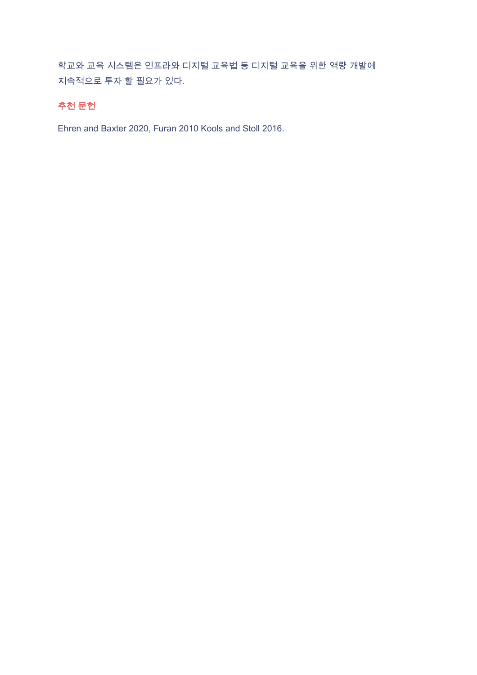학교와 교육 시스템은 인프라와 디지털 교육법 등 디지털 교육을 위한 역량 개발에 지속적으로 투자 할 필요가 있다.

### 추천 문헌

Ehren and Baxter 2020, Furan 2010 Kools and Stoll 2016.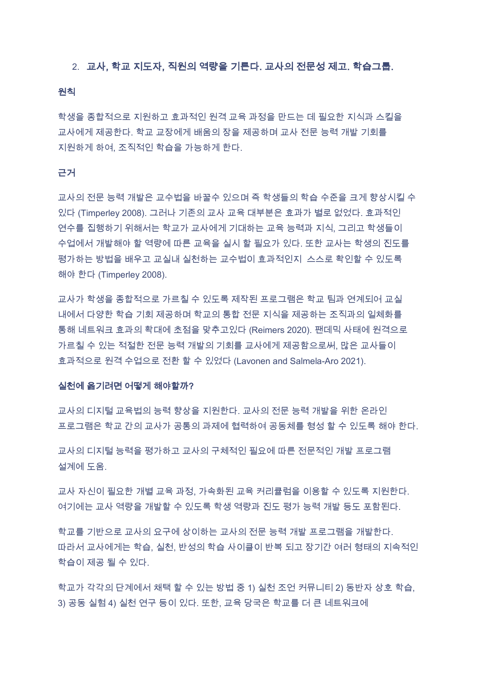#### 2. 교사, 학교 지도자, 직원의 역량을 기른다. 교사의 전문성 제고, 학습그룹,

#### 원칙

학생을 종합적으로 지원하고 효과적인 원격 교육 과정을 만드는 데 필요한 지식과 스킬을 교사에게 제공한다. 학교 교장에게 배움의 장을 제공하며 교사 전문 능력 개발 기회를 지원하게 하여, 조직적인 학습을 가능하게 한다.

#### 근거

교사의 전문 능력 개발은 교수법을 바꿀수 있으며 즉 학생들의 학습 수준을 크게 향상시킬 수 있다 (Timperley 2008). 그러나 기존의 교사 교육 대부분은 효과가 별로 없었다. 효과적인 연수를 집행하기 위해서는 학교가 교사에게 기대하는 교육 능력과 지식, 그리고 학생들이 수업에서 개발해야 할 역량에 따른 교육을 실시 할 필요가 있다. 또한 교사는 학생의 진도를 평가하는 방법을 배우고 교실내 실천하는 교수법이 효과적인지 스스로 확인할 수 있도록 해야 한다 (Timperley 2008).

교사가 학생을 종합적으로 가르칠 수 있도록 제작된 프로그램은 학교 팀과 연계되어 교실 내에서 다양한 학습 기회 제공하며 학교의 통합 전문 지식을 제공하는 조직과의 일체화를 통해 네트워크 효과의 확대에 초점을 맞추고있다 (Reimers 2020). 팬데믹 사태에 원격으로 가르칠 수 있는 적절한 전문 능력 개발의 기회를 교사에게 제공함으로써, 많은 교사들이 효과적으로 원격 수업으로 전환 할 수 있었다 (Lavonen and Salmela-Aro 2021).

#### 실천에 옮기려면 어떻게 해야할까?

교사의 디지털 교육법의 능력 향상을 지원한다. 교사의 전문 능력 개발을 위한 온라인 프로그램은 학교 간의 교사가 공통의 과제에 현력하여 공동체를 형성 할 수 있도록 해야 한다.

교사의 디지털 능력을 평가하고 교사의 구체적인 필요에 따른 전문적인 개발 프로그램 설계에 도움.

교사 자신이 필요한 개별 교육 과정, 가속화된 교육 커리큘럼을 이용할 수 있도록 지원한다. 여기에는 교사 역량을 개발할 수 있도록 학생 역량과 진도 평가 능력 개발 등도 포함된다.

학교를 기반으로 교사의 요구에 상이하는 교사의 전문 능력 개발 프로그램을 개발한다. 따라서 교사에게는 학습, 실천, 반성의 학습 사이클이 반복 되고 장기간 여러 형태의 지속적인 학습이 제공 될 수 있다.

학교가 각각의 단계에서 채택 할 수 있는 방법 중 1) 실천 조언 커뮤니티 2) 동반자 상호 학습. 3) 공동 실험 4) 실천 연구 등이 있다. 또한, 교육 당국은 학교를 더 큰 네트워크에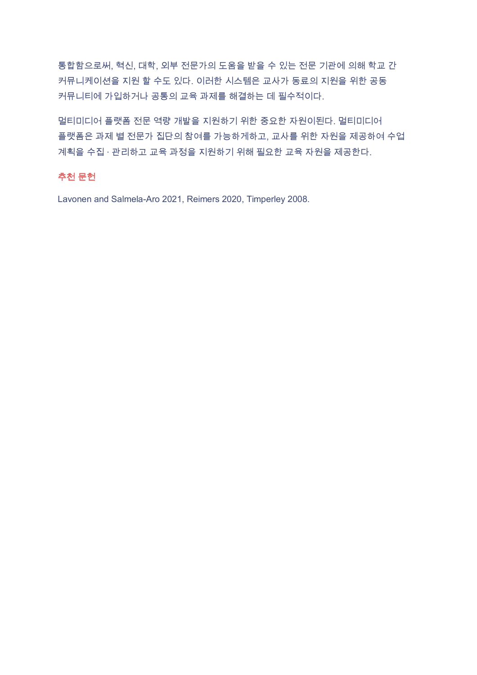통합함으로써, 혁신, 대학, 외부 전문가의 도움을 받을 수 있는 전문 기관에 의해 학교 간 커뮤니케이션을 지원 할 수도 있다. 이러한 시스템은 교사가 동료의 지원을 위한 공동 커뮤니티에 가입하거나 공통의 교육 과제를 해결하는 데 필수적이다.

멀티미디어 플랫폼 전문 역량 개발을 지원하기 위한 중요한 자원이된다. 멀티미디어 플랫폼은 과제 별 전문가 집단의 참여를 가능하게하고, 교사를 위한 자원을 제공하여 수업 계획을 수집 · 관리하고 교육 과정을 지원하기 위해 필요한 교육 자원을 제공한다.

#### 추천 문헌

Lavonen and Salmela-Aro 2021, Reimers 2020, Timperley 2008.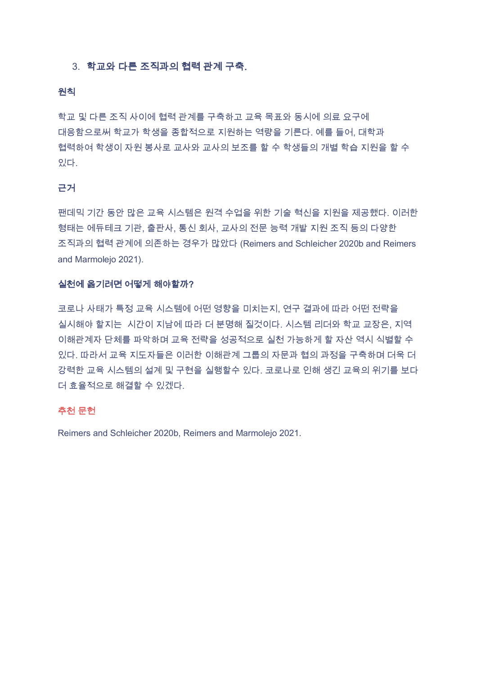#### 3. 학교와 다른 조직과의 협력 관계 구축.

#### 원칙

학교 및 다른 조직 사이에 협력 관계를 구축하고 교육 목표와 동시에 의료 요구에 대응함으로써 학교가 학생을 종합적으로 지원하는 역량을 기른다. 예를 들어, 대학과 협력하여 학생이 자원 봉사로 교사와 교사의 보조를 할 수 학생들의 개별 학습 지원을 할 수 있다.

#### 근거

팬데믹 기간 동안 많은 교육 시스템은 원격 수업을 위한 기술 혁신을 지원을 제공했다. 이러한 형태는 에듀테크 기관, 출판사, 통신 회사, 교사의 전문 능력 개발 지원 조직 등의 다양한 조직과의 협력 관계에 의존하는 경우가 많았다 (Reimers and Schleicher 2020b and Reimers and Marmolejo 2021).

#### 실천에 옮기려면 어떻게 해야할까?

코로나 사태가 특정 교육 시스템에 어떤 영향을 미치는지, 연구 결과에 따라 어떤 전략을 실시해야 할지는 시간이 지남에 따라 더 분명해 질것이다. 시스템 리더와 학교 교장은, 지역 이해관계자 단체를 파악하며 교육 전략을 성공적으로 실천 가능하게 할 자산 역시 식별할 수 있다. 따라서 교육 지도자들은 이러한 이해관계 그룹의 자문과 협의 과정을 구축하며 더욱 더 강력한 교육 시스템의 설계 및 구현을 실행할수 있다. 코로나로 인해 생긴 교육의 위기를 보다 더 효율적으로 해결할 수 있겠다.

#### 추천 문헌

Reimers and Schleicher 2020b, Reimers and Marmolejo 2021.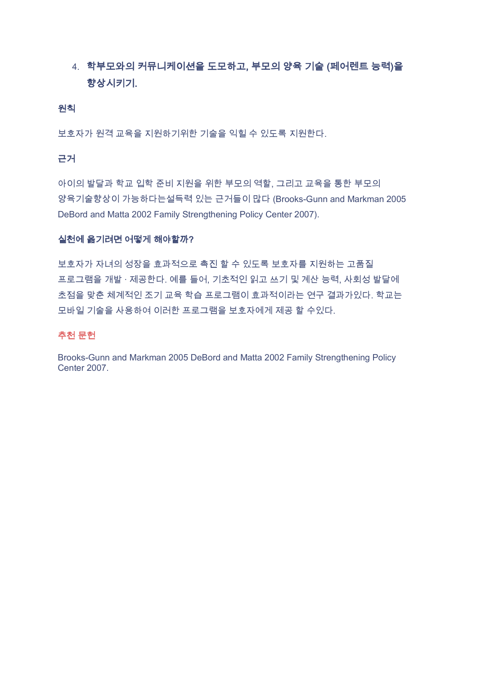## 4. 학부모와의 커뮤니케이션을 도모하고, 부모의 양육 기술 (페어렌트 능력)을 향상시키기.

#### 원칙

보호자가 원격 교육을 지원하기위한 기술을 익힐 수 있도록 지원한다.

#### 근거

아이의 발달과 학교 입학 준비 지원을 위한 부모의 역할, 그리고 교육을 통한 부모의 양육기술향상이 가능하다는설득력 있는 근거들이 많다 (Brooks-Gunn and Markman 2005 DeBord and Matta 2002 Family Strengthening Policy Center 2007).

#### 실천에 옮기려면 어떻게 해야할까?

보호자가 자녀의 성장을 효과적으로 촉진 할 수 있도록 보호자를 지원하는 고품질 프로그램을 개발 · 제공한다. 예를 들어, 기초적인 읽고 쓰기 및 계산 능력, 사회성 발달에 초점을 맞춘 체계적인 조기 교육 학습 프로그램이 효과적이라는 연구 결과가있다. 학교는 모바일 기술을 사용하여 이러한 프로그램을 보호자에게 제공 할 수있다.

#### 추천 문헌

Brooks-Gunn and Markman 2005 DeBord and Matta 2002 Family Strengthening Policy Center 2007.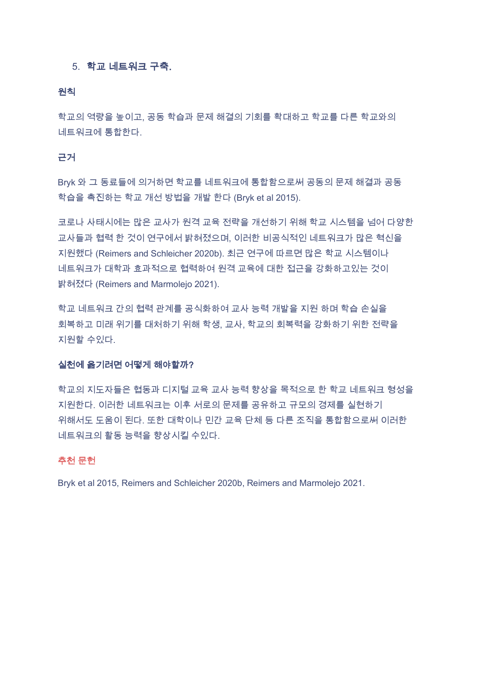#### 5. 학교 네트워크 구축.

#### 원칙

학교의 역량을 높이고, 공동 학습과 문제 해결의 기회를 확대하고 학교를 다른 학교와의 네트워크에 통합한다.

#### 근거

Bryk 와 그 동료들에 의거하면 학교를 네트워크에 통합함으로써 공동의 문제 해결과 공동 학습을 촉진하는 학교 개선 방법을 개발 한다 (Bryk et al 2015).

코로나 사태시에는 많은 교사가 원격 교육 전략을 개선하기 위해 학교 시스템을 넘어 다양한 교사들과 협력 한 것이 연구에서 밝혀졌으며, 이러한 비공식적인 네트워크가 많은 혁신을 지원했다 (Reimers and Schleicher 2020b). 최근 연구에 따르면 많은 학교 시스템이나 네트워크가 대학과 효과적으로 협력하여 원격 교육에 대한 접근을 강화하고있는 것이 밝혀졌다 (Reimers and Marmolejo 2021).

학교 네트워크 간의 협력 관계를 공식화하여 교사 능력 개발을 지원 하며 학습 손실을 회복하고 미래 위기를 대처하기 위해 학생, 교사, 학교의 회복력을 강화하기 위한 전략을 지원할 수있다.

#### 실천에 옮기려면 어떻게 해야할까?

학교의 지도자들은 협동과 디지털 교육 교사 능력 향상을 목적으로 한 학교 네트워크 형성을 지원한다. 이러한 네트워크는 이후 서로의 문제를 공유하고 규모의 경제를 실현하기 위해서도 도움이 된다. 또한 대학이나 민간 교육 단체 등 다른 조직을 통합함으로써 이러한 네트워크의 활동 능력을 향상시킬 수있다.

#### 추천 문헌

Bryk et al 2015, Reimers and Schleicher 2020b, Reimers and Marmolejo 2021.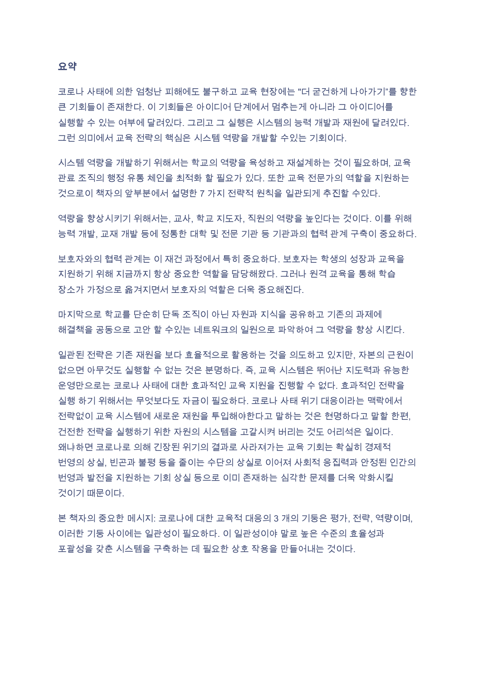#### 요약

코로나 사태에 의한 엄청난 피해에도 불구하고 교육 현장에는 "더 굳건하게 나아가기"를 향한 큰 기회들이 존재한다. 이 기회들은 아이디어 단계에서 멈추는게 아니라 그 아이디어를 실행할 수 있는 여부에 달려있다. 그리고 그 실행은 시스템의 능력 개발과 재원에 달려있다. 그런 의미에서 교육 전략의 핵심은 시스템 역량을 개발할 수있는 기회이다.

시스템 역량을 개발하기 위해서는 학교의 역량을 육성하고 재설계하는 것이 필요하며, 교육 관료 조직의 행정 유통 체인을 최적화 할 필요가 있다. 또한 교육 전문가의 역할을 지원하는 것으로이 책자의 앞부분에서 설명한 7 가지 전략적 원칙을 일관되게 추진할 수있다.

역량을 향상시키기 위해서는, 교사, 학교 지도자, 직원의 역량을 높인다는 것이다. 이를 위해 능력 개발, 교재 개발 등에 정통한 대학 및 전문 기관 등 기관과의 협력 관계 구축이 중요하다.

보호자와의 협력 관계는 이 재건 과정에서 특히 중요하다. 보호자는 학생의 성장과 교육을 지원하기 위해 지금까지 항상 중요한 역할을 담당해왔다. 그러나 원격 교육을 통해 학습 장소가 가정으로 옮겨지면서 보호자의 역할은 더욱 중요해진다.

마지막으로 학교를 단순히 단독 조직이 아닌 자원과 지식을 공유하고 기존의 과제에 해결책을 공동으로 고안 할 수있는 네트워크의 일원으로 파악하여 그 역량을 향상 시킨다.

일관된 전략은 기존 재원을 보다 효율적으로 활용하는 것을 의도하고 있지만, 자본의 근원이 없으면 아무것도 실행할 수 없는 것은 분명하다. 즉, 교육 시스템은 뛰어난 지도력과 유능한 운영만으로는 코로나 사태에 대한 효과적인 교육 지원을 진행할 수 없다. 효과적인 전략을 실행 하기 위해서는 무엇보다도 자금이 필요하다. 코로나 사태 위기 대응이라는 맥락에서 전략없이 교육 시스템에 새로운 재원을 투입해야한다고 말하는 것은 현명하다고 말할 한편. 건전한 전략을 실행하기 위한 자원의 시스템을 고갈시켜 버리는 것도 어리석은 일이다. 왜냐하면 코로나로 의해 긴장된 위기의 결과로 사라져가는 교육 기회는 확실히 경제적 번영의 상실, 빈곤과 불평 등을 줄이는 수단의 상실로 이어져 사회적 응집력과 안정된 인간의 번영과 발전을 지원하는 기회 상실 등으로 이미 존재하는 심각한 문제를 더욱 악화시킬 것이기 때문이다.

본 책자의 중요한 메시지: 코로나에 대한 교육적 대응의 3 개의 기둥은 평가, 전략, 역량이며, 이러한 기둥 사이에는 일관성이 필요하다. 이 일관성이야 말로 높은 수준의 효율성과 포괄성을 갖춘 시스템을 구축하는 데 필요한 상호 작용을 만들어내는 것이다.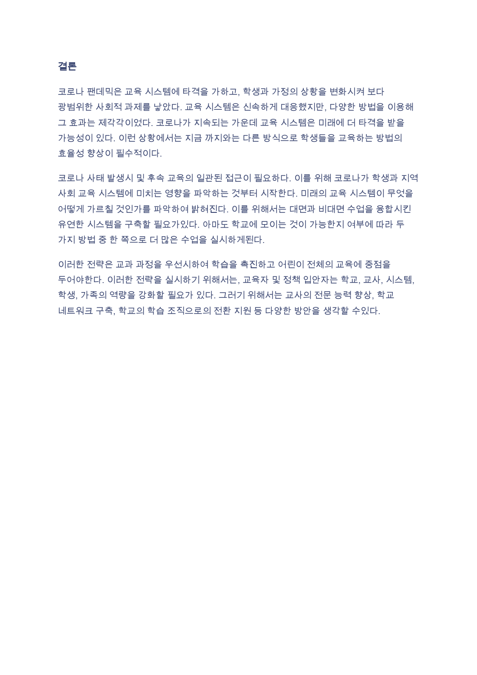#### 결론

코로나 팬데믹은 교육 시스템에 타격을 가하고, 학생과 가정의 상황을 변화시켜 보다 광범위한 사회적 과제를 낳았다. 교육 시스템은 신속하게 대응했지만, 다양한 방법을 이용해 그 효과는 제각각이었다. 코로나가 지속되는 가운데 교육 시스템은 미래에 더 타격을 받을 가능성이 있다. 이런 상황에서는 지금 까지와는 다른 방식으로 학생들을 교육하는 방법의 효율성 향상이 필수적이다.

코로나 사태 발생시 및 후속 교육의 일관된 접근이 필요하다. 이를 위해 코로나가 학생과 지역 사회 교육 시스템에 미치는 영향을 파악하는 것부터 시작한다. 미래의 교육 시스템이 무엇을 어떻게 가르칠 것인가를 파악하여 밝혀진다. 이를 위해서는 대면과 비대면 수업을 융합시킨 유연한 시스템을 구축할 필요가있다. 아마도 학교에 모이는 것이 가능한지 여부에 따라 두 가지 방법 중 한 쪽으로 더 많은 수업을 실시하게된다.

이러한 전략은 교과 과정을 우선시하여 학습을 촉진하고 어린이 전체의 교육에 중점을 두어야한다. 이러한 전략을 실시하기 위해서는, 교육자 및 정책 입안자는 학교, 교사, 시스템, 학생. 가족의 역량을 강화할 필요가 있다. 그러기 위해서는 교사의 전문 능력 향상, 학교 네트워크 구축, 학교의 학습 조직으로의 전환 지원 등 다양한 방안을 생각할 수있다.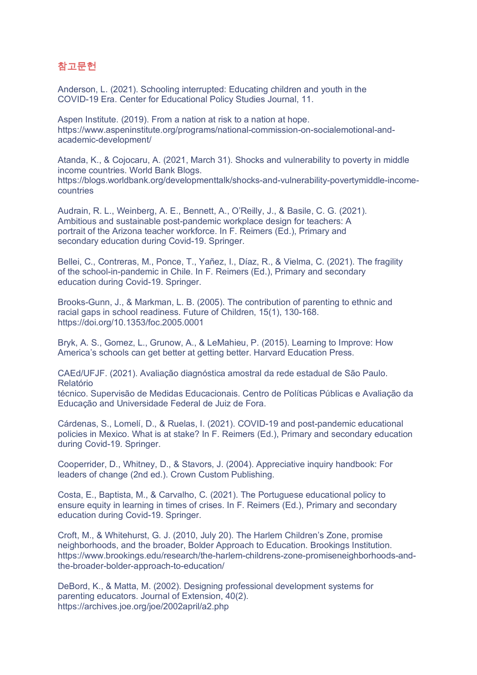## 참고문헌

Anderson, L. (2021). Schooling interrupted: Educating children and youth in the COVID-19 Era. Center for Educational Policy Studies Journal, 11.

Aspen Institute. (2019). From a nation at risk to a nation at hope. https://www.aspeninstitute.org/programs/national-commission-on-socialemotional-andacademic-development/

Atanda, K., & Cojocaru, A. (2021, March 31). Shocks and vulnerability to poverty in middle income countries. World Bank Blogs. https://blogs.worldbank.org/developmenttalk/shocks-and-vulnerability-povertymiddle-incomecountries

Audrain, R. L., Weinberg, A. E., Bennett, A., O'Reilly, J., & Basile, C. G. (2021). Ambitious and sustainable post-pandemic workplace design for teachers: A portrait of the Arizona teacher workforce. In F. Reimers (Ed.), Primary and secondary education during Covid-19. Springer.

Bellei, C., Contreras, M., Ponce, T., Yañez, I., Díaz, R., & Vielma, C. (2021). The fragility of the school-in-pandemic in Chile. In F. Reimers (Ed.), Primary and secondary education during Covid-19. Springer.

Brooks-Gunn, J., & Markman, L. B. (2005). The contribution of parenting to ethnic and racial gaps in school readiness. Future of Children, 15(1), 130-168. https://doi.org/10.1353/foc.2005.0001

Bryk, A. S., Gomez, L., Grunow, A., & LeMahieu, P. (2015). Learning to Improve: How America's schools can get better at getting better. Harvard Education Press.

CAEd/UFJF. (2021). Avaliação diagnóstica amostral da rede estadual de São Paulo. Relatório

técnico. Supervisão de Medidas Educacionais. Centro de Políticas Públicas e Avaliação da Educação and Universidade Federal de Juiz de Fora.

Cárdenas, S., Lomelí, D., & Ruelas, I. (2021). COVID-19 and post-pandemic educational policies in Mexico. What is at stake? In F. Reimers (Ed.), Primary and secondary education during Covid-19. Springer.

Cooperrider, D., Whitney, D., & Stavors, J. (2004). Appreciative inquiry handbook: For leaders of change (2nd ed.). Crown Custom Publishing.

Costa, E., Baptista, M., & Carvalho, C. (2021). The Portuguese educational policy to ensure equity in learning in times of crises. In F. Reimers (Ed.), Primary and secondary education during Covid-19. Springer.

Croft, M., & Whitehurst, G. J. (2010, July 20). The Harlem Children's Zone, promise neighborhoods, and the broader, Bolder Approach to Education. Brookings Institution. https://www.brookings.edu/research/the-harlem-childrens-zone-promiseneighborhoods-andthe-broader-bolder-approach-to-education/

DeBord, K., & Matta, M. (2002). Designing professional development systems for parenting educators. Journal of Extension, 40(2). https://archives.joe.org/joe/2002april/a2.php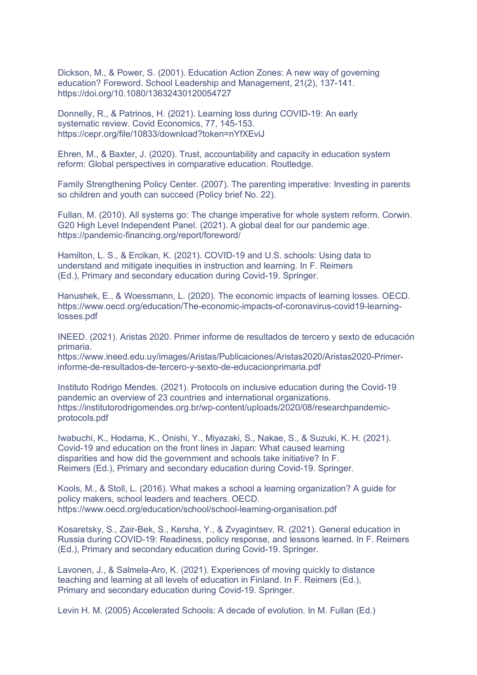Dickson, M., & Power, S. (2001). Education Action Zones: A new way of governing education? Foreword. School Leadership and Management, 21(2), 137-141. https://doi.org/10.1080/13632430120054727

Donnelly, R., & Patrinos, H. (2021). Learning loss during COVID-19: An early systematic review. Covid Economics, 77, 145-153. https://cepr.org/file/10833/download?token=nYfXEviJ

Ehren, M., & Baxter, J. (2020). Trust, accountability and capacity in education system reform: Global perspectives in comparative education. Routledge.

Family Strengthening Policy Center. (2007). The parenting imperative: Investing in parents so children and youth can succeed (Policy brief No. 22).

Fullan, M. (2010). All systems go: The change imperative for whole system reform. Corwin. G20 High Level Independent Panel. (2021). A global deal for our pandemic age. https://pandemic-financing.org/report/foreword/

Hamilton, L. S., & Ercikan, K. (2021). COVID-19 and U.S. schools: Using data to understand and mitigate inequities in instruction and learning. In F. Reimers (Ed.), Primary and secondary education during Covid-19. Springer.

Hanushek, E., & Woessmann, L. (2020). The economic impacts of learning losses. OECD. https://www.oecd.org/education/The-economic-impacts-of-coronavirus-covid19-learninglosses.pdf

INEED. (2021). Aristas 2020. Primer informe de resultados de tercero y sexto de educación primaria.

https://www.ineed.edu.uy/images/Aristas/Publicaciones/Aristas2020/Aristas2020-Primerinforme-de-resultados-de-tercero-y-sexto-de-educacionprimaria.pdf

Instituto Rodrigo Mendes. (2021). Protocols on inclusive education during the Covid-19 pandemic an overview of 23 countries and international organizations. https://institutorodrigomendes.org.br/wp-content/uploads/2020/08/researchpandemicprotocols.pdf

Iwabuchi, K., Hodama, K., Onishi, Y., Miyazaki, S., Nakae, S., & Suzuki, K. H. (2021). Covid-19 and education on the front lines in Japan: What caused learning disparities and how did the government and schools take initiative? In F. Reimers (Ed.), Primary and secondary education during Covid-19. Springer.

Kools, M., & Stoll, L. (2016). What makes a school a learning organization? A guide for policy makers, school leaders and teachers. OECD. https://www.oecd.org/education/school/school-learning-organisation.pdf

Kosaretsky, S., Zair-Bek, S., Kersha, Y., & Zvyagintsev, R. (2021). General education in Russia during COVID-19: Readiness, policy response, and lessons learned. In F. Reimers (Ed.), Primary and secondary education during Covid-19. Springer.

Lavonen, J., & Salmela-Aro, K. (2021). Experiences of moving quickly to distance teaching and learning at all levels of education in Finland. In F. Reimers (Ed.), Primary and secondary education during Covid-19. Springer.

Levin H. M. (2005) Accelerated Schools: A decade of evolution. In M. Fullan (Ed.)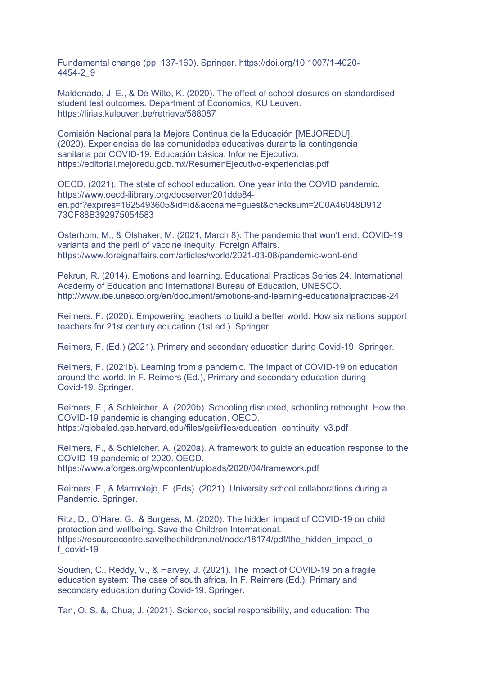Fundamental change (pp. 137-160). Springer. https://doi.org/10.1007/1-4020- 4454-2\_9

Maldonado, J. E., & De Witte, K. (2020). The effect of school closures on standardised student test outcomes. Department of Economics, KU Leuven. https://lirias.kuleuven.be/retrieve/588087

Comisión Nacional para la Mejora Continua de la Educación [MEJOREDU]. (2020). Experiencias de las comunidades educativas durante la contingencia sanitaria por COVID-19. Educación básica. Informe Ejecutivo. https://editorial.mejoredu.gob.mx/ResumenEjecutivo-experiencias.pdf

OECD. (2021). The state of school education. One year into the COVID pandemic. https://www.oecd-ilibrary.org/docserver/201dde84 en.pdf?expires=1625493605&id=id&accname=guest&checksum=2C0A46048D912 73CF88B392975054583

Osterhom, M., & Olshaker, M. (2021, March 8). The pandemic that won't end: COVID-19 variants and the peril of vaccine inequity. Foreign Affairs. https://www.foreignaffairs.com/articles/world/2021-03-08/pandemic-wont-end

Pekrun, R. (2014). Emotions and learning. Educational Practices Series 24. International Academy of Education and International Bureau of Education, UNESCO. http://www.ibe.unesco.org/en/document/emotions-and-learning-educationalpractices-24

Reimers, F. (2020). Empowering teachers to build a better world: How six nations support teachers for 21st century education (1st ed.). Springer.

Reimers, F. (Ed.) (2021). Primary and secondary education during Covid-19. Springer.

Reimers, F. (2021b). Learning from a pandemic. The impact of COVID-19 on education around the world. In F. Reimers (Ed.), Primary and secondary education during Covid-19. Springer.

Reimers, F., & Schleicher, A. (2020b). Schooling disrupted, schooling rethought. How the COVID-19 pandemic is changing education. OECD. https://globaled.gse.harvard.edu/files/geii/files/education\_continuity\_v3.pdf

Reimers, F., & Schleicher, A. (2020a). A framework to guide an education response to the COVID-19 pandemic of 2020. OECD. https://www.aforges.org/wpcontent/uploads/2020/04/framework.pdf

Reimers, F., & Marmolejo, F. (Eds). (2021). University school collaborations during a Pandemic. Springer.

Ritz, D., O'Hare, G., & Burgess, M. (2020). The hidden impact of COVID-19 on child protection and wellbeing. Save the Children International. https://resourcecentre.savethechildren.net/node/18174/pdf/the\_hidden\_impact\_o f\_covid-19

Soudien, C., Reddy, V., & Harvey, J. (2021). The impact of COVID-19 on a fragile education system: The case of south africa. In F. Reimers (Ed.), Primary and secondary education during Covid-19. Springer.

Tan, O. S. &, Chua, J. (2021). Science, social responsibility, and education: The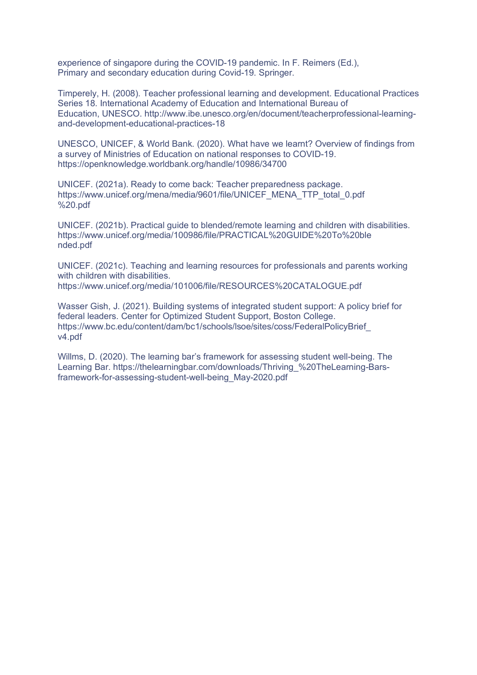experience of singapore during the COVID-19 pandemic. In F. Reimers (Ed.), Primary and secondary education during Covid-19. Springer.

Timperely, H. (2008). Teacher professional learning and development. Educational Practices Series 18. International Academy of Education and International Bureau of Education, UNESCO. http://www.ibe.unesco.org/en/document/teacherprofessional-learningand-development-educational-practices-18

UNESCO, UNICEF, & World Bank. (2020). What have we learnt? Overview of findings from a survey of Ministries of Education on national responses to COVID-19. https://openknowledge.worldbank.org/handle/10986/34700

UNICEF. (2021a). Ready to come back: Teacher preparedness package. https://www.unicef.org/mena/media/9601/file/UNICEF\_MENA\_TTP\_total\_0.pdf %20.pdf

UNICEF. (2021b). Practical guide to blended/remote learning and children with disabilities. https://www.unicef.org/media/100986/file/PRACTICAL%20GUIDE%20To%20ble nded.pdf

UNICEF. (2021c). Teaching and learning resources for professionals and parents working with children with disabilities. https://www.unicef.org/media/101006/file/RESOURCES%20CATALOGUE.pdf

Wasser Gish, J. (2021). Building systems of integrated student support: A policy brief for federal leaders. Center for Optimized Student Support, Boston College. https://www.bc.edu/content/dam/bc1/schools/lsoe/sites/coss/FederalPolicyBrief\_ v4.pdf

Willms, D. (2020). The learning bar's framework for assessing student well-being. The Learning Bar. https://thelearningbar.com/downloads/Thriving\_%20TheLearning-Barsframework-for-assessing-student-well-being\_May-2020.pdf